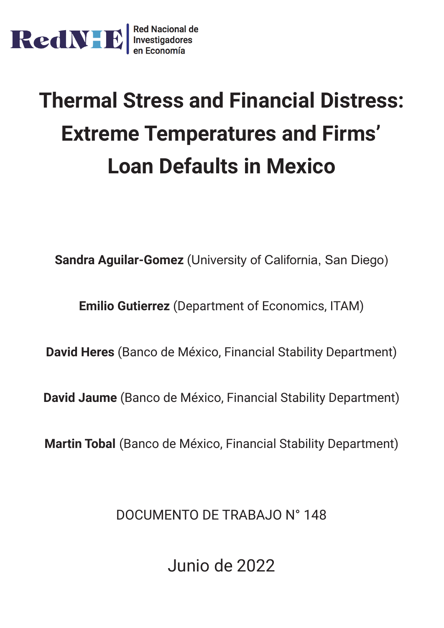

# **Thermal Stress and Financial Distress: Extreme Temperatures and Firms' Loan Defaults in Mexico**

**Sandra Aguilar-Gomez** (University of California, San Diego)

**Emilio Gutierrez** (Department of Economics, ITAM)

**David Heres** (Banco de México, Financial Stability Department)

**David Jaume** (Banco de México, Financial Stability Department)

**Martin Tobal** (Banco de México, Financial Stability Department)

DOCUMENTO DE TRABAJO N° 148

Junio de 2022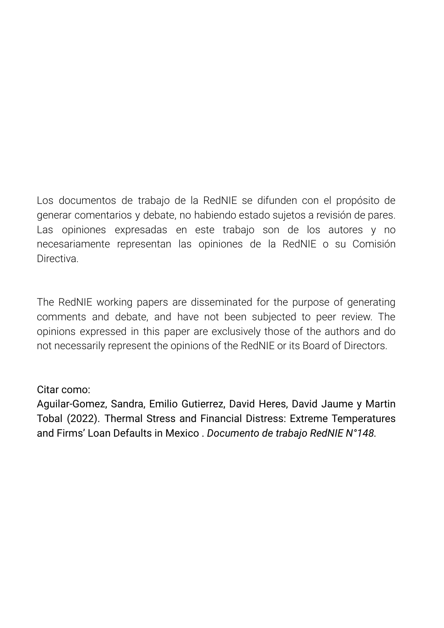Los documentos de trabajo de la RedNIE se difunden con el propósito de generar comentarios y debate, no habiendo estado sujetos a revisión de pares. Las opiniones expresadas en este trabajo son de los autores y no necesariamente representan las opiniones de la RedNIE o su Comisión **Directiva** 

The RedNIE working papers are disseminated for the purpose of generating comments and debate, and have not been subjected to peer review. The opinions expressed in this paper are exclusively those of the authors and do not necessarily represent the opinions of the RedNIE or its Board of Directors.

## Citar como:

Aguilar-Gomez, Sandra, Emilio Gutierrez, David Heres, David Jaume y Martin Tobal (2022). Thermal Stress and Financial Distress: Extreme Temperatures and Firms' Loan Defaults in Mexico . *Documento de trabajo RedNIE N°148.*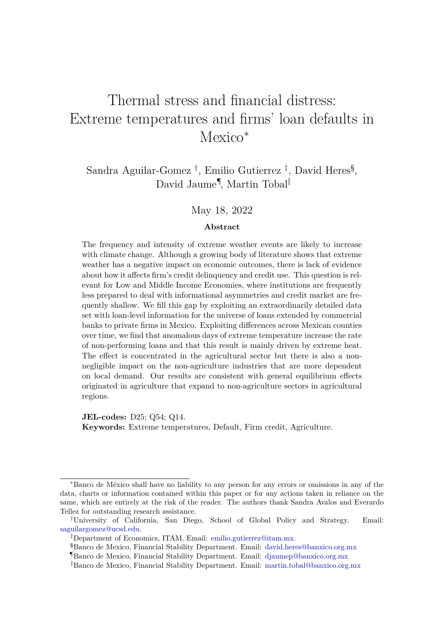# Thermal stress and financial distress: Extreme temperatures and firms' loan defaults in Mexico<sup>\*</sup>

Sandra Aguilar-Gomez<sup>†</sup>, Emilio Gutierrez<sup>‡</sup>, David Heres<sup>§</sup>, David Jaume¶ , Martin Tobal‖

#### May 18, 2022

#### **Abstract**

The frequency and intensity of extreme weather events are likely to increase with climate change. Although a growing body of literature shows that extreme weather has a negative impact on economic outcomes, there is lack of evidence about how it affects firm's credit delinquency and credit use. This question is relevant for Low and Middle Income Economies, where institutions are frequently less prepared to deal with informational asymmetries and credit market are frequently shallow. We fill this gap by exploiting an extraordinarily detailed data set with loan-level information for the universe of loans extended by commercial banks to private firms in Mexico. Exploiting differences across Mexican counties over time, we find that anomalous days of extreme temperature increase the rate of non-performing loans and that this result is mainly driven by extreme heat. The effect is concentrated in the agricultural sector but there is also a nonnegligible impact on the non-agriculture industries that are more dependent on local demand. Our results are consistent with general equilibrium effects originated in agriculture that expand to non-agriculture sectors in agricultural regions.

**JEL-codes:** D25; Q54; Q14. **Keywords:** Extreme temperatures, Default, Firm credit, Agriculture.

<sup>∗</sup>Banco de México shall have no liability to any person for any errors or omissions in any of the data, charts or information contained within this paper or for any actions taken in reliance on the same, which are entirely at the risk of the reader. The authors thank Sandra Avalos and Everardo Tellez for outstanding research assistance.

<sup>†</sup>University of California, San Diego, School of Global Policy and Strategy. Email: [saguilargomez@ucsd.edu.](mailto:saguilargomez@ucsd.edu)

<sup>‡</sup>Department of Economics, ITAM. Email: [emilio.gutierrez@itam.mx.](mailto:emilio.gutierrez@itam.mx.)

<sup>§</sup>Banco de Mexico, Financial Stability Department. Email: [david.heres@banxico.org.mx](mailto:david.heres@banxico.org.mx )

<sup>¶</sup>Banco de Mexico, Financial Stability Department. Email: [djaumep@banxico.org.mx](mailto:djaumep@banxico.org.mx)

<sup>‖</sup>Banco de Mexico, Financial Stability Department. Email: [martin.tobal@banxico.org.mx](mailto:martin.tobal@banxico.org.mx )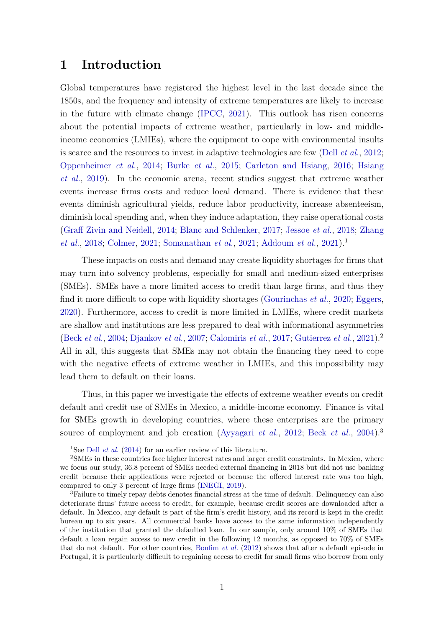#### **1 Introduction**

Global temperatures have registered the highest level in the last decade since the 1850s, and the frequency and intensity of extreme temperatures are likely to increase in the future with climate change [\(IPCC,](#page-24-0) [2021\)](#page-24-0). This outlook has risen concerns about the potential impacts of extreme weather, particularly in low- and middleincome economies (LMIEs), where the equipment to cope with environmental insults is scarce and the resources to invest in adaptive technologies are few (Dell *[et al.](#page-23-0)*, [2012;](#page-23-0) [Oppenheimer](#page-25-0) *et al.*, [2014;](#page-25-0) [Burke](#page-23-1) *et al.*, [2015;](#page-23-1) [Carleton and Hsiang,](#page-23-2) [2016;](#page-23-2) [Hsiang](#page-24-1) *[et al.](#page-24-1)*, [2019\)](#page-24-1). In the economic arena, recent studies suggest that extreme weather events increase firms costs and reduce local demand. There is evidence that these events diminish agricultural yields, reduce labor productivity, increase absenteeism, diminish local spending and, when they induce adaptation, they raise operational costs [\(Graff Zivin and Neidell,](#page-24-2) [2014;](#page-24-2) [Blanc and Schlenker,](#page-22-0) [2017;](#page-22-0) [Jessoe](#page-24-3) *et al.*, [2018;](#page-24-3) [Zhang](#page-25-1) *[et al.](#page-25-1)*, [2018;](#page-25-1) [Colmer,](#page-23-3) [2021;](#page-25-2) [Somanathan](#page-25-2) *et al.*, 2021; [Addoum](#page-22-1) *et al.*, [2021\)](#page-22-1).<sup>1</sup>

These impacts on costs and demand may create liquidity shortages for firms that may turn into solvency problems, especially for small and medium-sized enterprises (SMEs). SMEs have a more limited access to credit than large firms, and thus they find it more difficult to cope with liquidity shortages [\(Gourinchas](#page-24-4) *et al.*, [2020;](#page-24-4) [Eggers,](#page-24-5) [2020\)](#page-24-5). Furthermore, access to credit is more limited in LMIEs, where credit markets are shallow and institutions are less prepared to deal with informational asymmetries [\(Beck](#page-22-2) *et al.*, [2004;](#page-22-2) [Djankov](#page-24-6) *et al.*, [2007;](#page-24-6) [Calomiris](#page-23-4) *et al.*, [2017;](#page-23-4) [Gutierrez](#page-24-7) *et al.*, [2021\)](#page-24-7).<sup>2</sup> All in all, this suggests that SMEs may not obtain the financing they need to cope with the negative effects of extreme weather in LMIEs, and this impossibility may lead them to default on their loans.

Thus, in this paper we investigate the effects of extreme weather events on credit default and credit use of SMEs in Mexico, a middle-income economy. Finance is vital for SMEs growth in developing countries, where these enterprises are the primary source of employment and job creation [\(Ayyagari](#page-22-3) *et al.*, [2012;](#page-22-3) Beck *[et al.](#page-22-2)*, [2004\)](#page-22-2).<sup>3</sup>

<sup>&</sup>lt;sup>1</sup>See Dell *[et al.](#page-23-5)* [\(2014\)](#page-23-5) for an earlier review of this literature.

<sup>2</sup>SMEs in these countries face higher interest rates and larger credit constraints. In Mexico, where we focus our study, 36.8 percent of SMEs needed external financing in 2018 but did not use banking credit because their applications were rejected or because the offered interest rate was too high, compared to only 3 percent of large firms [\(INEGI,](#page-24-8) [2019\)](#page-24-8).

<sup>&</sup>lt;sup>3</sup>Failure to timely repay debts denotes financial stress at the time of default. Delinquency can also deteriorate firms' future access to credit, for example, because credit scores are downloaded after a default. In Mexico, any default is part of the firm's credit history, and its record is kept in the credit bureau up to six years. All commercial banks have access to the same information independently of the institution that granted the defaulted loan. In our sample, only around 10% of SMEs that default a loan regain access to new credit in the following 12 months, as opposed to 70% of SMEs that do not default. For other countries, [Bonfim](#page-22-4) *et al.* [\(2012\)](#page-22-4) shows that after a default episode in Portugal, it is particularly difficult to regaining access to credit for small firms who borrow from only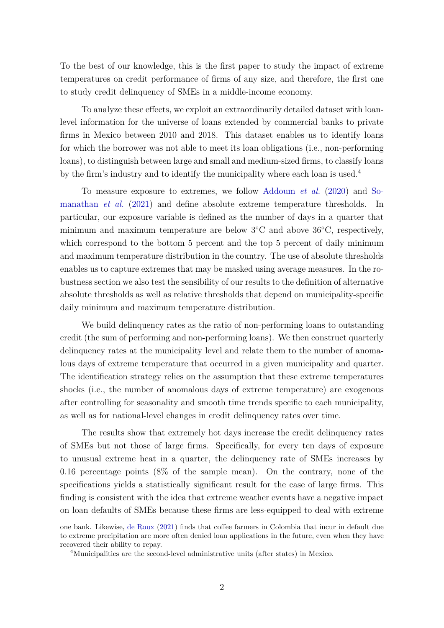To the best of our knowledge, this is the first paper to study the impact of extreme temperatures on credit performance of firms of any size, and therefore, the first one to study credit delinquency of SMEs in a middle-income economy.

To analyze these effects, we exploit an extraordinarily detailed dataset with loanlevel information for the universe of loans extended by commercial banks to private firms in Mexico between 2010 and 2018. This dataset enables us to identify loans for which the borrower was not able to meet its loan obligations (i.e., non-performing loans), to distinguish between large and small and medium-sized firms, to classify loans by the firm's industry and to identify the municipality where each loan is used.<sup>4</sup>

To measure exposure to extremes, we follow [Addoum](#page-22-5) *et al.* [\(2020\)](#page-22-5) and [So](#page-25-2)[manathan](#page-25-2) *et al.* [\(2021\)](#page-25-2) and define absolute extreme temperature thresholds. In particular, our exposure variable is defined as the number of days in a quarter that minimum and maximum temperature are below 3◦C and above 36◦C, respectively, which correspond to the bottom 5 percent and the top 5 percent of daily minimum and maximum temperature distribution in the country. The use of absolute thresholds enables us to capture extremes that may be masked using average measures. In the robustness section we also test the sensibility of our results to the definition of alternative absolute thresholds as well as relative thresholds that depend on municipality-specific daily minimum and maximum temperature distribution.

We build delinquency rates as the ratio of non-performing loans to outstanding credit (the sum of performing and non-performing loans). We then construct quarterly delinquency rates at the municipality level and relate them to the number of anomalous days of extreme temperature that occurred in a given municipality and quarter. The identification strategy relies on the assumption that these extreme temperatures shocks (i.e., the number of anomalous days of extreme temperature) are exogenous after controlling for seasonality and smooth time trends specific to each municipality, as well as for national-level changes in credit delinquency rates over time.

The results show that extremely hot days increase the credit delinquency rates of SMEs but not those of large firms. Specifically, for every ten days of exposure to unusual extreme heat in a quarter, the delinquency rate of SMEs increases by 0.16 percentage points (8% of the sample mean). On the contrary, none of the specifications yields a statistically significant result for the case of large firms. This finding is consistent with the idea that extreme weather events have a negative impact on loan defaults of SMEs because these firms are less-equipped to deal with extreme

one bank. Likewise, [de Roux](#page-23-6) [\(2021\)](#page-23-6) finds that coffee farmers in Colombia that incur in default due to extreme precipitation are more often denied loan applications in the future, even when they have recovered their ability to repay.

<sup>&</sup>lt;sup>4</sup>Municipalities are the second-level administrative units (after states) in Mexico.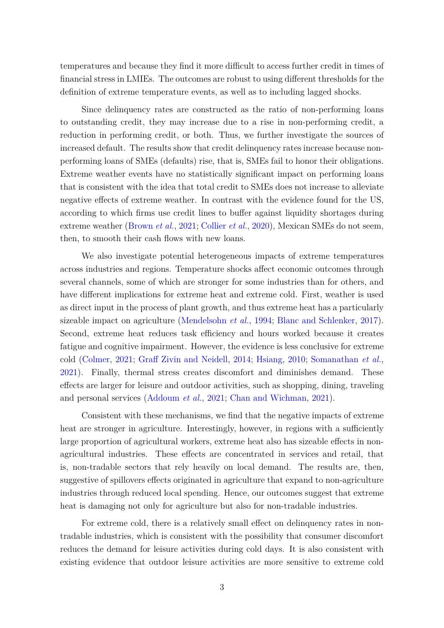temperatures and because they find it more difficult to access further credit in times of financial stress in LMIEs. The outcomes are robust to using different thresholds for the definition of extreme temperature events, as well as to including lagged shocks.

Since delinquency rates are constructed as the ratio of non-performing loans to outstanding credit, they may increase due to a rise in non-performing credit, a reduction in performing credit, or both. Thus, we further investigate the sources of increased default. The results show that credit delinquency rates increase because nonperforming loans of SMEs (defaults) rise, that is, SMEs fail to honor their obligations. Extreme weather events have no statistically significant impact on performing loans that is consistent with the idea that total credit to SMEs does not increase to alleviate negative effects of extreme weather. In contrast with the evidence found for the US, according to which firms use credit lines to buffer against liquidity shortages during extreme weather [\(Brown](#page-23-7) *et al.*, [2021;](#page-23-7) [Collier](#page-23-8) *et al.*, [2020\)](#page-23-8), Mexican SMEs do not seem, then, to smooth their cash flows with new loans.

We also investigate potential heterogeneous impacts of extreme temperatures across industries and regions. Temperature shocks affect economic outcomes through several channels, some of which are stronger for some industries than for others, and have different implications for extreme heat and extreme cold. First, weather is used as direct input in the process of plant growth, and thus extreme heat has a particularly sizeable impact on agriculture [\(Mendelsohn](#page-25-3) *et al.*, [1994;](#page-25-3) [Blanc and Schlenker,](#page-22-0) [2017\)](#page-22-0). Second, extreme heat reduces task efficiency and hours worked because it creates fatigue and cognitive impairment. However, the evidence is less conclusive for extreme cold [\(Colmer,](#page-23-3) [2021;](#page-23-3) [Graff Zivin and Neidell,](#page-24-2) [2014;](#page-24-2) [Hsiang,](#page-24-9) [2010;](#page-24-9) [Somanathan](#page-25-2) *et al.*, [2021\)](#page-25-2). Finally, thermal stress creates discomfort and diminishes demand. These effects are larger for leisure and outdoor activities, such as shopping, dining, traveling and personal services [\(Addoum](#page-22-1) *et al.*, [2021;](#page-22-1) [Chan and Wichman,](#page-23-9) [2021\)](#page-23-9).

Consistent with these mechanisms, we find that the negative impacts of extreme heat are stronger in agriculture. Interestingly, however, in regions with a sufficiently large proportion of agricultural workers, extreme heat also has sizeable effects in nonagricultural industries. These effects are concentrated in services and retail, that is, non-tradable sectors that rely heavily on local demand. The results are, then, suggestive of spillovers effects originated in agriculture that expand to non-agriculture industries through reduced local spending. Hence, our outcomes suggest that extreme heat is damaging not only for agriculture but also for non-tradable industries.

For extreme cold, there is a relatively small effect on delinquency rates in nontradable industries, which is consistent with the possibility that consumer discomfort reduces the demand for leisure activities during cold days. It is also consistent with existing evidence that outdoor leisure activities are more sensitive to extreme cold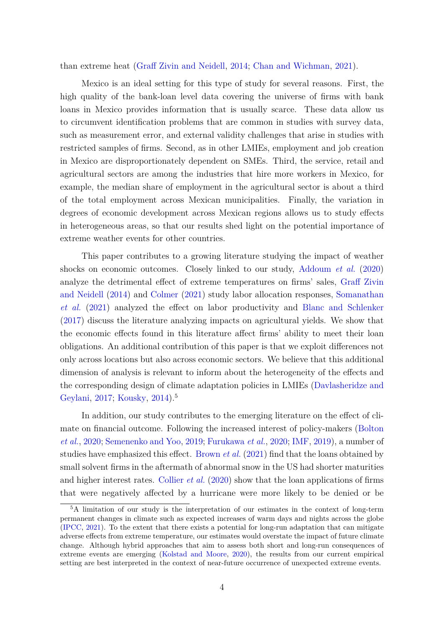than extreme heat [\(Graff Zivin and Neidell,](#page-24-2) [2014;](#page-24-2) [Chan and Wichman,](#page-23-9) [2021\)](#page-23-9).

Mexico is an ideal setting for this type of study for several reasons. First, the high quality of the bank-loan level data covering the universe of firms with bank loans in Mexico provides information that is usually scarce. These data allow us to circumvent identification problems that are common in studies with survey data, such as measurement error, and external validity challenges that arise in studies with restricted samples of firms. Second, as in other LMIEs, employment and job creation in Mexico are disproportionately dependent on SMEs. Third, the service, retail and agricultural sectors are among the industries that hire more workers in Mexico, for example, the median share of employment in the agricultural sector is about a third of the total employment across Mexican municipalities. Finally, the variation in degrees of economic development across Mexican regions allows us to study effects in heterogeneous areas, so that our results shed light on the potential importance of extreme weather events for other countries.

This paper contributes to a growing literature studying the impact of weather shocks on economic outcomes. Closely linked to our study, [Addoum](#page-22-5) *et al.* [\(2020\)](#page-22-5) analyze the detrimental effect of extreme temperatures on firms' sales, [Graff Zivin](#page-24-2) [and Neidell](#page-24-2) [\(2014\)](#page-24-2) and [Colmer](#page-23-3) [\(2021\)](#page-23-3) study labor allocation responses, [Somanathan](#page-25-2) *[et al.](#page-25-2)* [\(2021\)](#page-25-2) analyzed the effect on labor productivity and [Blanc and Schlenker](#page-22-0) [\(2017\)](#page-22-0) discuss the literature analyzing impacts on agricultural yields. We show that the economic effects found in this literature affect firms' ability to meet their loan obligations. An additional contribution of this paper is that we exploit differences not only across locations but also across economic sectors. We believe that this additional dimension of analysis is relevant to inform about the heterogeneity of the effects and the corresponding design of climate adaptation policies in LMIEs [\(Davlasheridze and](#page-23-10) [Geylani,](#page-23-10) [2017;](#page-23-10) [Kousky,](#page-25-4) [2014\)](#page-25-4).<sup>5</sup>

In addition, our study contributes to the emerging literature on the effect of climate on financial outcome. Following the increased interest of policy-makers [\(Bolton](#page-22-6) *[et al.](#page-22-6)*, [2020;](#page-22-6) [Semenenko and Yoo,](#page-25-5) [2019;](#page-25-5) [Furukawa](#page-24-10) *et al.*, [2020;](#page-24-10) [IMF,](#page-24-11) [2019\)](#page-24-11), a number of studies have emphasized this effect. [Brown](#page-23-7) *et al.* [\(2021\)](#page-23-7) find that the loans obtained by small solvent firms in the aftermath of abnormal snow in the US had shorter maturities and higher interest rates. [Collier](#page-23-8) *et al.* [\(2020\)](#page-23-8) show that the loan applications of firms that were negatively affected by a hurricane were more likely to be denied or be

<sup>5</sup>A limitation of our study is the interpretation of our estimates in the context of long-term permanent changes in climate such as expected increases of warm days and nights across the globe [\(IPCC,](#page-24-0) [2021\)](#page-24-0). To the extent that there exists a potential for long-run adaptation that can mitigate adverse effects from extreme temperature, our estimates would overstate the impact of future climate change. Although hybrid approaches that aim to assess both short and long-run consequences of extreme events are emerging [\(Kolstad and Moore,](#page-24-12) [2020\)](#page-24-12), the results from our current empirical setting are best interpreted in the context of near-future occurrence of unexpected extreme events.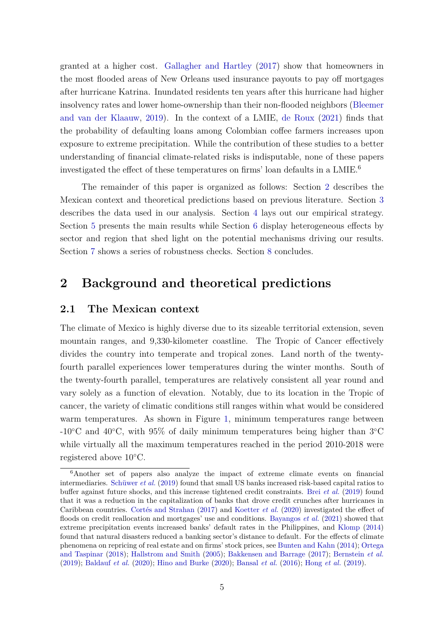granted at a higher cost. [Gallagher and Hartley](#page-24-13) [\(2017\)](#page-24-13) show that homeowners in the most flooded areas of New Orleans used insurance payouts to pay off mortgages after hurricane Katrina. Inundated residents ten years after this hurricane had higher insolvency rates and lower home-ownership than their non-flooded neighbors [\(Bleemer](#page-22-7) [and van der Klaauw,](#page-22-7) [2019\)](#page-22-7). In the context of a LMIE, [de Roux](#page-23-6) [\(2021\)](#page-23-6) finds that the probability of defaulting loans among Colombian coffee farmers increases upon exposure to extreme precipitation. While the contribution of these studies to a better understanding of financial climate-related risks is indisputable, none of these papers investigated the effect of these temperatures on firms' loan defaults in a LMIE.<sup>6</sup>

The remainder of this paper is organized as follows: Section [2](#page-7-0) describes the Mexican context and theoretical predictions based on previous literature. Section [3](#page-11-0) describes the data used in our analysis. Section [4](#page-13-0) lays out our empirical strategy. Section [5](#page-15-0) presents the main results while Section [6](#page-18-0) display heterogeneous effects by sector and region that shed light on the potential mechanisms driving our results. Section [7](#page-19-0) shows a series of robustness checks. Section [8](#page-20-0) concludes.

## <span id="page-7-0"></span>**2 Background and theoretical predictions**

#### **2.1 The Mexican context**

The climate of Mexico is highly diverse due to its sizeable territorial extension, seven mountain ranges, and 9,330-kilometer coastline. The Tropic of Cancer effectively divides the country into temperate and tropical zones. Land north of the twentyfourth parallel experiences lower temperatures during the winter months. South of the twenty-fourth parallel, temperatures are relatively consistent all year round and vary solely as a function of elevation. Notably, due to its location in the Tropic of cancer, the variety of climatic conditions still ranges within what would be considered warm temperatures. As shown in Figure [1,](#page-26-0) minimum temperatures range between -10◦C and 40◦C, with 95% of daily minimum temperatures being higher than 3◦C while virtually all the maximum temperatures reached in the period 2010-2018 were registered above 10◦C.

<sup>6</sup>Another set of papers also analyze the impact of extreme climate events on financial intermediaries. [Schüwer](#page-25-6) *et al.* [\(2019\)](#page-25-6) found that small US banks increased risk-based capital ratios to buffer against future shocks, and this increase tightened credit constraints. Brei *[et al.](#page-23-11)* [\(2019\)](#page-23-11) found that it was a reduction in the capitalization of banks that drove credit crunches after hurricanes in Caribbean countries. [Cortés and Strahan](#page-23-12) [\(2017\)](#page-23-12) and [Koetter](#page-24-14) *et al.* [\(2020\)](#page-24-14) investigated the effect of floods on credit reallocation and mortgages' use and conditions. [Bayangos](#page-22-8) *et al.* [\(2021\)](#page-22-8) showed that extreme precipitation events increased banks' default rates in the Philippines, and [Klomp](#page-24-15) [\(2014\)](#page-24-15) found that natural disasters reduced a banking sector's distance to default. For the effects of climate phenomena on repricing of real estate and on firms' stock prices, see [Bunten and Kahn](#page-23-13) [\(2014\)](#page-23-13); [Ortega](#page-25-7) [and Taspinar](#page-25-7) [\(2018\)](#page-25-7); [Hallstrom and Smith](#page-24-16) [\(2005\)](#page-24-16); [Bakkensen and Barrage](#page-22-9) [\(2017\)](#page-22-9); [Bernstein](#page-22-10) *et al.* [\(2019\)](#page-22-10); [Baldauf](#page-22-11) *et al.* [\(2020\)](#page-22-11); [Hino and Burke](#page-24-17) [\(2020\)](#page-24-17); [Bansal](#page-22-12) *et al.* [\(2016\)](#page-22-12); [Hong](#page-24-18) *et al.* [\(2019\)](#page-24-18).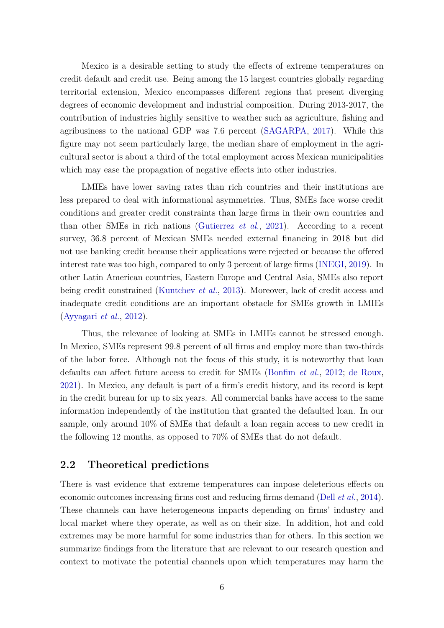Mexico is a desirable setting to study the effects of extreme temperatures on credit default and credit use. Being among the 15 largest countries globally regarding territorial extension, Mexico encompasses different regions that present diverging degrees of economic development and industrial composition. During 2013-2017, the contribution of industries highly sensitive to weather such as agriculture, fishing and agribusiness to the national GDP was 7.6 percent [\(SAGARPA,](#page-25-8) [2017\)](#page-25-8). While this figure may not seem particularly large, the median share of employment in the agricultural sector is about a third of the total employment across Mexican municipalities which may ease the propagation of negative effects into other industries.

LMIEs have lower saving rates than rich countries and their institutions are less prepared to deal with informational asymmetries. Thus, SMEs face worse credit conditions and greater credit constraints than large firms in their own countries and than other SMEs in rich nations [\(Gutierrez](#page-24-7) *et al.*, [2021\)](#page-24-7). According to a recent survey, 36.8 percent of Mexican SMEs needed external financing in 2018 but did not use banking credit because their applications were rejected or because the offered interest rate was too high, compared to only 3 percent of large firms [\(INEGI,](#page-24-8) [2019\)](#page-24-8). In other Latin American countries, Eastern Europe and Central Asia, SMEs also report being credit constrained [\(Kuntchev](#page-25-9) *et al.*, [2013\)](#page-25-9). Moreover, lack of credit access and inadequate credit conditions are an important obstacle for SMEs growth in LMIEs [\(Ayyagari](#page-22-3) *et al.*, [2012\)](#page-22-3).

Thus, the relevance of looking at SMEs in LMIEs cannot be stressed enough. In Mexico, SMEs represent 99.8 percent of all firms and employ more than two-thirds of the labor force. Although not the focus of this study, it is noteworthy that loan defaults can affect future access to credit for SMEs [\(Bonfim](#page-22-4) *et al.*, [2012;](#page-22-4) [de Roux,](#page-23-6) [2021\)](#page-23-6). In Mexico, any default is part of a firm's credit history, and its record is kept in the credit bureau for up to six years. All commercial banks have access to the same information independently of the institution that granted the defaulted loan. In our sample, only around 10% of SMEs that default a loan regain access to new credit in the following 12 months, as opposed to 70% of SMEs that do not default.

#### <span id="page-8-0"></span>**2.2 Theoretical predictions**

There is vast evidence that extreme temperatures can impose deleterious effects on economic outcomes increasing firms cost and reducing firms demand (Dell *[et al.](#page-23-5)*, [2014\)](#page-23-5). These channels can have heterogeneous impacts depending on firms' industry and local market where they operate, as well as on their size. In addition, hot and cold extremes may be more harmful for some industries than for others. In this section we summarize findings from the literature that are relevant to our research question and context to motivate the potential channels upon which temperatures may harm the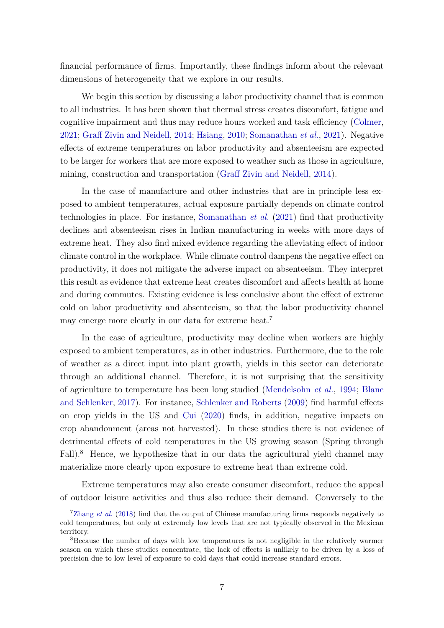financial performance of firms. Importantly, these findings inform about the relevant dimensions of heterogeneity that we explore in our results.

We begin this section by discussing a labor productivity channel that is common to all industries. It has been shown that thermal stress creates discomfort, fatigue and cognitive impairment and thus may reduce hours worked and task efficiency [\(Colmer,](#page-23-3) [2021;](#page-23-3) [Graff Zivin and Neidell,](#page-24-2) [2014;](#page-24-2) [Hsiang,](#page-24-9) [2010;](#page-24-9) [Somanathan](#page-25-2) *et al.*, [2021\)](#page-25-2). Negative effects of extreme temperatures on labor productivity and absenteeism are expected to be larger for workers that are more exposed to weather such as those in agriculture, mining, construction and transportation [\(Graff Zivin and Neidell,](#page-24-2) [2014\)](#page-24-2).

In the case of manufacture and other industries that are in principle less exposed to ambient temperatures, actual exposure partially depends on climate control technologies in place. For instance, [Somanathan](#page-25-2) *et al.* [\(2021\)](#page-25-2) find that productivity declines and absenteeism rises in Indian manufacturing in weeks with more days of extreme heat. They also find mixed evidence regarding the alleviating effect of indoor climate control in the workplace. While climate control dampens the negative effect on productivity, it does not mitigate the adverse impact on absenteeism. They interpret this result as evidence that extreme heat creates discomfort and affects health at home and during commutes. Existing evidence is less conclusive about the effect of extreme cold on labor productivity and absenteeism, so that the labor productivity channel may emerge more clearly in our data for extreme heat.<sup>7</sup>

In the case of agriculture, productivity may decline when workers are highly exposed to ambient temperatures, as in other industries. Furthermore, due to the role of weather as a direct input into plant growth, yields in this sector can deteriorate through an additional channel. Therefore, it is not surprising that the sensitivity of agriculture to temperature has been long studied [\(Mendelsohn](#page-25-3) *et al.*, [1994;](#page-25-3) [Blanc](#page-22-0) [and Schlenker,](#page-22-0) [2017\)](#page-22-0). For instance, [Schlenker and Roberts](#page-25-10) [\(2009\)](#page-25-10) find harmful effects on crop yields in the US and [Cui](#page-23-14) [\(2020\)](#page-23-14) finds, in addition, negative impacts on crop abandonment (areas not harvested). In these studies there is not evidence of detrimental effects of cold temperatures in the US growing season (Spring through Fall).<sup>8</sup> Hence, we hypothesize that in our data the agricultural yield channel may materialize more clearly upon exposure to extreme heat than extreme cold.

Extreme temperatures may also create consumer discomfort, reduce the appeal of outdoor leisure activities and thus also reduce their demand. Conversely to the

<sup>&</sup>lt;sup>7</sup>[Zhang](#page-25-1) *et al.* [\(2018\)](#page-25-1) find that the output of Chinese manufacturing firms responds negatively to cold temperatures, but only at extremely low levels that are not typically observed in the Mexican territory.

<sup>8</sup>Because the number of days with low temperatures is not negligible in the relatively warmer season on which these studies concentrate, the lack of effects is unlikely to be driven by a loss of precision due to low level of exposure to cold days that could increase standard errors.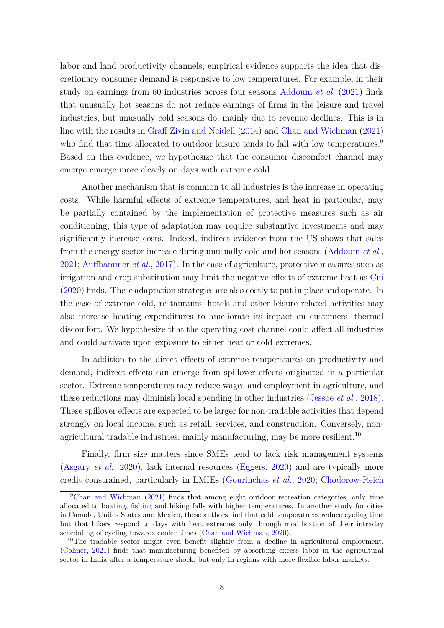labor and land productivity channels, empirical evidence supports the idea that discretionary consumer demand is responsive to low temperatures. For example, in their study on earnings from 60 industries across four seasons [Addoum](#page-22-1) *et al.* [\(2021\)](#page-22-1) finds that unusually hot seasons do not reduce earnings of firms in the leisure and travel industries, but unusually cold seasons do, mainly due to revenue declines. This is in line with the results in [Graff Zivin and Neidell](#page-24-2) [\(2014\)](#page-24-2) and [Chan and Wichman](#page-23-9) [\(2021\)](#page-23-9) who find that time allocated to outdoor leisure tends to fall with low temperatures.<sup>9</sup> Based on this evidence, we hypothesize that the consumer discomfort channel may emerge emerge more clearly on days with extreme cold.

Another mechanism that is common to all industries is the increase in operating costs. While harmful effects of extreme temperatures, and heat in particular, may be partially contained by the implementation of protective measures such as air conditioning, this type of adaptation may require substantive investments and may significantly increase costs. Indeed, indirect evidence from the US shows that sales from the energy sector increase during unusually cold and hot seasons [\(Addoum](#page-22-1) *et al.*, [2021;](#page-22-1) [Auffhammer](#page-22-13) *et al.*, [2017\)](#page-22-13). In the case of agriculture, protective measures such as irrigation and crop substitution may limit the negative effects of extreme heat as [Cui](#page-23-14) [\(2020\)](#page-23-14) finds. These adaptation strategies are also costly to put in place and operate. In the case of extreme cold, restaurants, hotels and other leisure related activities may also increase heating expenditures to ameliorate its impact on customers' thermal discomfort. We hypothesize that the operating cost channel could affect all industries and could activate upon exposure to either heat or cold extremes.

In addition to the direct effects of extreme temperatures on productivity and demand, indirect effects can emerge from spillover effects originated in a particular sector. Extreme temperatures may reduce wages and employment in agriculture, and these reductions may diminish local spending in other industries [\(Jessoe](#page-24-3) *et al.*, [2018\)](#page-24-3). These spillover effects are expected to be larger for non-tradable activities that depend strongly on local income, such as retail, services, and construction. Conversely, nonagricultural tradable industries, mainly manufacturing, may be more resilient.<sup>10</sup>

Finally, firm size matters since SMEs tend to lack risk management systems [\(Asgary](#page-22-14) *et al.*, [2020\)](#page-22-14), lack internal resources [\(Eggers,](#page-24-5) [2020\)](#page-24-5) and are typically more credit constrained, particularly in LMIEs [\(Gourinchas](#page-24-4) *et al.*, [2020;](#page-24-4) [Chodorow-Reich](#page-23-15)

<sup>9</sup>[Chan and Wichman](#page-23-9) [\(2021\) finds that among eight outdoor recreation categories, only time](#page-23-15) [allocated to boating, fishing and hiking falls with higher temperatures. In another study for cities](#page-23-15) [in Canada, Unites States and Mexico, these authors find that cold temperatures reduce cycling time](#page-23-15) [but that bikers respond to days with heat extremes only through modification of their intraday](#page-23-15) [scheduling of cycling towards cooler times \(Chan and Wichman,](#page-23-15) [2020\)](#page-23-16).

<sup>&</sup>lt;sup>10</sup>[The tradable sector might even benefit slightly from a decline in agricultural employment.](#page-23-15) [\(Colmer,](#page-23-3) [2021\) finds that manufacturing benefited by absorbing excess labor in the agricultural](#page-23-15) [sector in India after a temperature shock, but only in regions with more flexible labor markets.](#page-23-15)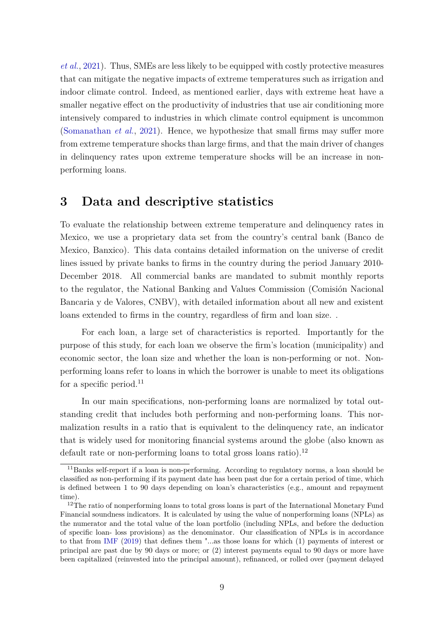*[et al.](#page-23-15)*, [2021\)](#page-23-15). Thus, SMEs are less likely to be equipped with costly protective measures that can mitigate the negative impacts of extreme temperatures such as irrigation and indoor climate control. Indeed, as mentioned earlier, days with extreme heat have a smaller negative effect on the productivity of industries that use air conditioning more intensively compared to industries in which climate control equipment is uncommon [\(Somanathan](#page-25-2) *et al.*, [2021\)](#page-25-2). Hence, we hypothesize that small firms may suffer more from extreme temperature shocks than large firms, and that the main driver of changes in delinquency rates upon extreme temperature shocks will be an increase in nonperforming loans.

## <span id="page-11-0"></span>**3 Data and descriptive statistics**

To evaluate the relationship between extreme temperature and delinquency rates in Mexico, we use a proprietary data set from the country's central bank (Banco de Mexico, Banxico). This data contains detailed information on the universe of credit lines issued by private banks to firms in the country during the period January 2010- December 2018. All commercial banks are mandated to submit monthly reports to the regulator, the National Banking and Values Commission (Comisión Nacional Bancaria y de Valores, CNBV), with detailed information about all new and existent loans extended to firms in the country, regardless of firm and loan size. .

For each loan, a large set of characteristics is reported. Importantly for the purpose of this study, for each loan we observe the firm's location (municipality) and economic sector, the loan size and whether the loan is non-performing or not. Nonperforming loans refer to loans in which the borrower is unable to meet its obligations for a specific period. $^{11}$ 

In our main specifications, non-performing loans are normalized by total outstanding credit that includes both performing and non-performing loans. This normalization results in a ratio that is equivalent to the delinquency rate, an indicator that is widely used for monitoring financial systems around the globe (also known as default rate or non-performing loans to total gross loans ratio).<sup>12</sup>

<sup>11</sup>Banks self-report if a loan is non-performing. According to regulatory norms, a loan should be classified as non-performing if its payment date has been past due for a certain period of time, which is defined between 1 to 90 days depending on loan's characteristics (e.g., amount and repayment time).

<sup>&</sup>lt;sup>12</sup>The ratio of nonperforming loans to total gross loans is part of the International Monetary Fund Financial soundness indicators. It is calculated by using the value of nonperforming loans (NPLs) as the numerator and the total value of the loan portfolio (including NPLs, and before the deduction of specific loan- loss provisions) as the denominator. Our classification of NPLs is in accordance to that from [IMF](#page-24-19) [\(2019\)](#page-24-19) that defines them "...as those loans for which (1) payments of interest or principal are past due by 90 days or more; or (2) interest payments equal to 90 days or more have been capitalized (reinvested into the principal amount), refinanced, or rolled over (payment delayed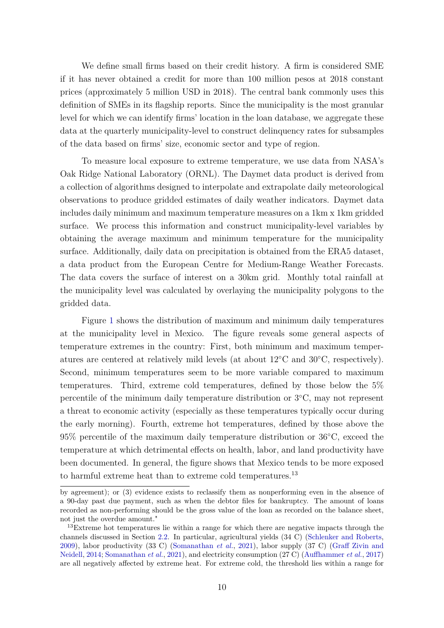We define small firms based on their credit history. A firm is considered SME if it has never obtained a credit for more than 100 million pesos at 2018 constant prices (approximately 5 million USD in 2018). The central bank commonly uses this definition of SMEs in its flagship reports. Since the municipality is the most granular level for which we can identify firms' location in the loan database, we aggregate these data at the quarterly municipality-level to construct delinquency rates for subsamples of the data based on firms' size, economic sector and type of region.

To measure local exposure to extreme temperature, we use data from NASA's Oak Ridge National Laboratory (ORNL). The Daymet data product is derived from a collection of algorithms designed to interpolate and extrapolate daily meteorological observations to produce gridded estimates of daily weather indicators. Daymet data includes daily minimum and maximum temperature measures on a 1km x 1km gridded surface. We process this information and construct municipality-level variables by obtaining the average maximum and minimum temperature for the municipality surface. Additionally, daily data on precipitation is obtained from the ERA5 dataset, a data product from the European Centre for Medium-Range Weather Forecasts. The data covers the surface of interest on a 30km grid. Monthly total rainfall at the municipality level was calculated by overlaying the municipality polygons to the gridded data.

Figure [1](#page-26-0) shows the distribution of maximum and minimum daily temperatures at the municipality level in Mexico. The figure reveals some general aspects of temperature extremes in the country: First, both minimum and maximum temperatures are centered at relatively mild levels (at about 12◦C and 30◦C, respectively). Second, minimum temperatures seem to be more variable compared to maximum temperatures. Third, extreme cold temperatures, defined by those below the 5% percentile of the minimum daily temperature distribution or 3◦C, may not represent a threat to economic activity (especially as these temperatures typically occur during the early morning). Fourth, extreme hot temperatures, defined by those above the 95% percentile of the maximum daily temperature distribution or 36◦C, exceed the temperature at which detrimental effects on health, labor, and land productivity have been documented. In general, the figure shows that Mexico tends to be more exposed to harmful extreme heat than to extreme cold temperatures.<sup>13</sup>

by agreement); or (3) evidence exists to reclassify them as nonperforming even in the absence of a 90-day past due payment, such as when the debtor files for bankruptcy. The amount of loans recorded as non-performing should be the gross value of the loan as recorded on the balance sheet, not just the overdue amount."

<sup>&</sup>lt;sup>13</sup>Extreme hot temperatures lie within a range for which there are negative impacts through the channels discussed in Section [2.2.](#page-8-0) In particular, agricultural yields (34 C) [\(Schlenker and Roberts,](#page-25-10) [2009\)](#page-25-10), labor productivity (33 C) [\(Somanathan](#page-25-2) *et al.*, [2021\)](#page-25-2), labor supply (37 C) [\(Graff Zivin and](#page-24-2) [Neidell,](#page-24-2) [2014;](#page-24-2) [Somanathan](#page-25-2) *et al.*, [2021\)](#page-25-2), and electricity consumption (27 C) [\(Auffhammer](#page-22-13) *et al.*, [2017\)](#page-22-13) are all negatively affected by extreme heat. For extreme cold, the threshold lies within a range for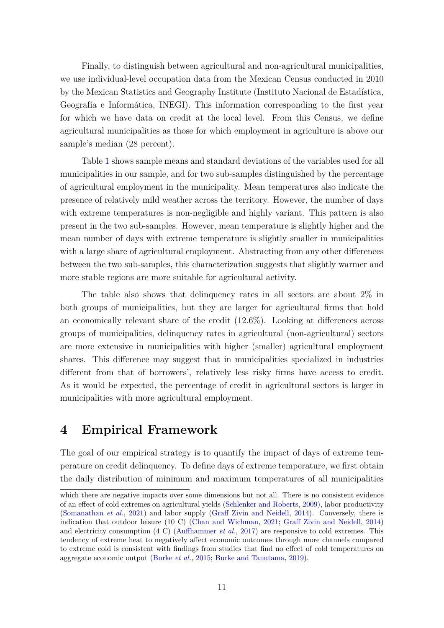Finally, to distinguish between agricultural and non-agricultural municipalities, we use individual-level occupation data from the Mexican Census conducted in 2010 by the Mexican Statistics and Geography Institute (Instituto Nacional de Estadística, Geografía e Informática, INEGI). This information corresponding to the first year for which we have data on credit at the local level. From this Census, we define agricultural municipalities as those for which employment in agriculture is above our sample's median (28 percent).

Table [1](#page-28-0) shows sample means and standard deviations of the variables used for all municipalities in our sample, and for two sub-samples distinguished by the percentage of agricultural employment in the municipality. Mean temperatures also indicate the presence of relatively mild weather across the territory. However, the number of days with extreme temperatures is non-negligible and highly variant. This pattern is also present in the two sub-samples. However, mean temperature is slightly higher and the mean number of days with extreme temperature is slightly smaller in municipalities with a large share of agricultural employment. Abstracting from any other differences between the two sub-samples, this characterization suggests that slightly warmer and more stable regions are more suitable for agricultural activity.

The table also shows that delinquency rates in all sectors are about 2% in both groups of municipalities, but they are larger for agricultural firms that hold an economically relevant share of the credit (12.6%). Looking at differences across groups of municipalities, delinquency rates in agricultural (non-agricultural) sectors are more extensive in municipalities with higher (smaller) agricultural employment shares. This difference may suggest that in municipalities specialized in industries different from that of borrowers', relatively less risky firms have access to credit. As it would be expected, the percentage of credit in agricultural sectors is larger in municipalities with more agricultural employment.

## <span id="page-13-0"></span>**4 Empirical Framework**

The goal of our empirical strategy is to quantify the impact of days of extreme temperature on credit delinquency. To define days of extreme temperature, we first obtain the daily distribution of minimum and maximum temperatures of all municipalities

which there are negative impacts over some dimensions but not all. There is no consistent evidence of an effect of cold extremes on agricultural yields [\(Schlenker and Roberts,](#page-25-10) [2009\)](#page-25-10), labor productivity [\(Somanathan](#page-25-2) *et al.*, [2021\)](#page-25-2) and labor supply [\(Graff Zivin and Neidell,](#page-24-2) [2014\)](#page-24-2). Conversely, there is indication that outdoor leisure (10 C) [\(Chan and Wichman,](#page-23-9) [2021;](#page-23-9) [Graff Zivin and Neidell,](#page-24-2) [2014\)](#page-24-2) and electricity consumption (4 C) [\(Auffhammer](#page-22-13) *et al.*, [2017\)](#page-22-13) are responsive to cold extremes. This tendency of extreme heat to negatively affect economic outcomes through more channels compared to extreme cold is consistent with findings from studies that find no effect of cold temperatures on aggregate economic output [\(Burke](#page-23-1) *et al.*, [2015;](#page-23-1) [Burke and Tanutama,](#page-23-17) [2019\)](#page-23-17).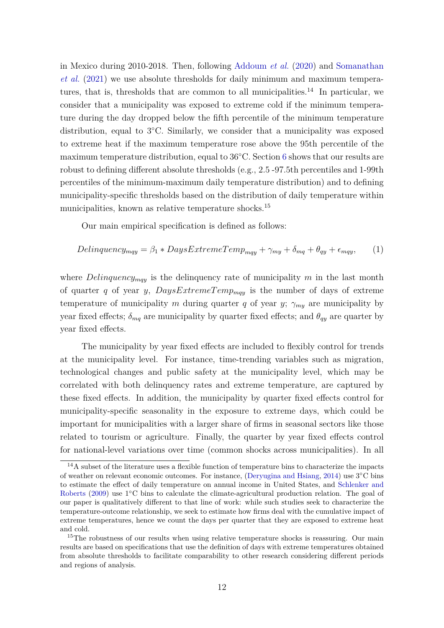in Mexico during 2010-2018. Then, following [Addoum](#page-22-5) *et al.* [\(2020\)](#page-22-5) and [Somanathan](#page-25-2) *[et al.](#page-25-2)* [\(2021\)](#page-25-2) we use absolute thresholds for daily minimum and maximum temperatures, that is, thresholds that are common to all municipalities.<sup>14</sup> In particular, we consider that a municipality was exposed to extreme cold if the minimum temperature during the day dropped below the fifth percentile of the minimum temperature distribution, equal to 3◦C. Similarly, we consider that a municipality was exposed to extreme heat if the maximum temperature rose above the 95th percentile of the maximum temperature distribution, equal to 36◦C. Section [6](#page-18-0) shows that our results are robust to defining different absolute thresholds (e.g., 2.5 -97.5th percentiles and 1-99th percentiles of the minimum-maximum daily temperature distribution) and to defining municipality-specific thresholds based on the distribution of daily temperature within municipalities, known as relative temperature shocks.<sup>15</sup>

Our main empirical specification is defined as follows:

<span id="page-14-0"></span>
$$
Delinquency_{mqy} = \beta_1 * DaysExtremeTemp_{mqy} + \gamma_{my} + \delta_{mq} + \theta_{qy} + \epsilon_{mqy}, \qquad (1)
$$

where *Delinquency*<sub>*mqy*</sub> is the delinquency rate of municipality  $m$  in the last month of quarter *q* of year *y*,  $DaysExtremeTemp_{mqy}$  is the number of days of extreme temperature of municipality *m* during quarter *q* of year *y*;  $\gamma_{my}$  are municipality by year fixed effects;  $\delta_{mq}$  are municipality by quarter fixed effects; and  $\theta_{qy}$  are quarter by year fixed effects.

The municipality by year fixed effects are included to flexibly control for trends at the municipality level. For instance, time-trending variables such as migration, technological changes and public safety at the municipality level, which may be correlated with both delinquency rates and extreme temperature, are captured by these fixed effects. In addition, the municipality by quarter fixed effects control for municipality-specific seasonality in the exposure to extreme days, which could be important for municipalities with a larger share of firms in seasonal sectors like those related to tourism or agriculture. Finally, the quarter by year fixed effects control for national-level variations over time (common shocks across municipalities). In all

<sup>&</sup>lt;sup>14</sup>A subset of the literature uses a flexible function of temperature bins to characterize the impacts of weather on relevant economic outcomes. For instance, [\(Deryugina and Hsiang,](#page-23-18) [2014\)](#page-23-18) use 3◦C bins to estimate the effect of daily temperature on annual income in United States, and [Schlenker and](#page-25-10) [Roberts](#page-25-10) [\(2009\)](#page-25-10) use 1<sup>°</sup>C bins to calculate the climate-agricultural production relation. The goal of our paper is qualitatively different to that line of work: while such studies seek to characterize the temperature-outcome relationship, we seek to estimate how firms deal with the cumulative impact of extreme temperatures, hence we count the days per quarter that they are exposed to extreme heat and cold.

<sup>&</sup>lt;sup>15</sup>The robustness of our results when using relative temperature shocks is reassuring. Our main results are based on specifications that use the definition of days with extreme temperatures obtained from absolute thresholds to facilitate comparability to other research considering different periods and regions of analysis.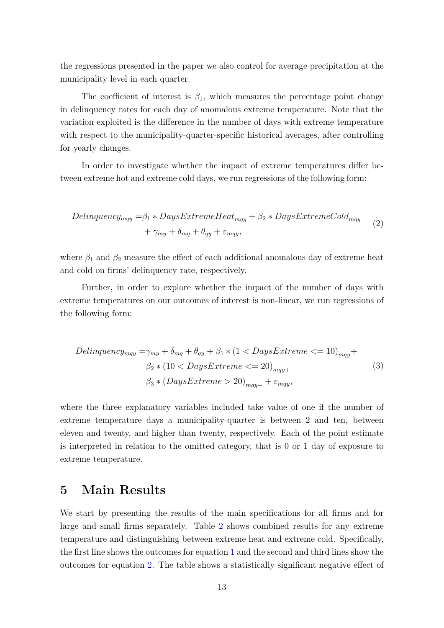the regressions presented in the paper we also control for average precipitation at the municipality level in each quarter.

The coefficient of interest is  $\beta_1$ , which measures the percentage point change in delinquency rates for each day of anomalous extreme temperature. Note that the variation exploited is the difference in the number of days with extreme temperature with respect to the municipality-quarter-specific historical averages, after controlling for yearly changes.

In order to investigate whether the impact of extreme temperatures differ between extreme hot and extreme cold days, we run regressions of the following form:

<span id="page-15-1"></span>
$$
Delinquency_{mqy} = \beta_1 * DaysExtremeHeat_{mqy} + \beta_2 * DaysExtreme Cold_{mqy} + \gamma_{my} + \delta_{mq} + \theta_{qy} + \varepsilon_{mqy},
$$
\n(2)

where  $\beta_1$  and  $\beta_2$  measure the effect of each additional anomalous day of extreme heat and cold on firms' delinquency rate, respectively.

Further, in order to explore whether the impact of the number of days with extreme temperatures on our outcomes of interest is non-linear, we run regressions of the following form:

<span id="page-15-2"></span>
$$
Delinquency_{mqy} = \gamma_{my} + \delta_{mq} + \theta_{qy} + \beta_1 * (1 < Days\times true \leq 10)_{mqy} +
$$
\n
$$
\beta_2 * (10 < Days\times true \leq 20)_{mqy+}
$$
\n
$$
\beta_3 * (Days\times true \geq 20)_{mqy+} + \varepsilon_{mqy},
$$
\n
$$
(3)
$$

where the three explanatory variables included take value of one if the number of extreme temperature days a municipality-quarter is between 2 and ten, between eleven and twenty, and higher than twenty, respectively. Each of the point estimate is interpreted in relation to the omitted category, that is 0 or 1 day of exposure to extreme temperature.

## <span id="page-15-0"></span>**5 Main Results**

We start by presenting the results of the main specifications for all firms and for large and small firms separately. Table [2](#page-29-0) shows combined results for any extreme temperature and distinguishing between extreme heat and extreme cold. Specifically, the first line shows the outcomes for equation [1](#page-14-0) and the second and third lines show the outcomes for equation [2.](#page-15-1) The table shows a statistically significant negative effect of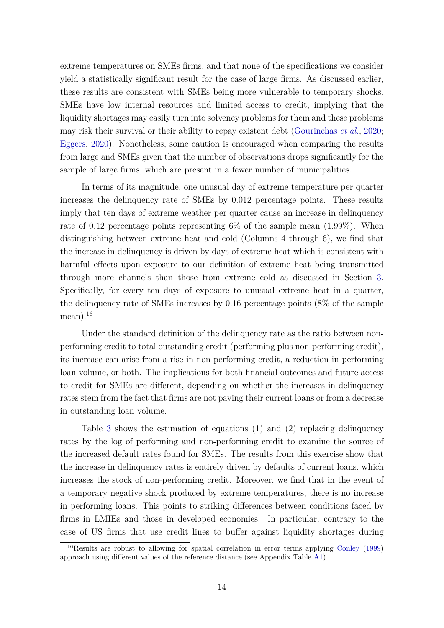extreme temperatures on SMEs firms, and that none of the specifications we consider yield a statistically significant result for the case of large firms. As discussed earlier, these results are consistent with SMEs being more vulnerable to temporary shocks. SMEs have low internal resources and limited access to credit, implying that the liquidity shortages may easily turn into solvency problems for them and these problems may risk their survival or their ability to repay existent debt [\(Gourinchas](#page-24-4) *et al.*, [2020;](#page-24-4) [Eggers,](#page-24-5) [2020\)](#page-24-5). Nonetheless, some caution is encouraged when comparing the results from large and SMEs given that the number of observations drops significantly for the sample of large firms, which are present in a fewer number of municipalities.

In terms of its magnitude, one unusual day of extreme temperature per quarter increases the delinquency rate of SMEs by 0.012 percentage points. These results imply that ten days of extreme weather per quarter cause an increase in delinquency rate of 0.12 percentage points representing  $6\%$  of the sample mean  $(1.99\%)$ . When distinguishing between extreme heat and cold (Columns 4 through 6), we find that the increase in delinquency is driven by days of extreme heat which is consistent with harmful effects upon exposure to our definition of extreme heat being transmitted through more channels than those from extreme cold as discussed in Section [3.](#page-11-0) Specifically, for every ten days of exposure to unusual extreme heat in a quarter, the delinquency rate of SMEs increases by 0.16 percentage points (8% of the sample mean). $^{16}$ 

Under the standard definition of the delinquency rate as the ratio between nonperforming credit to total outstanding credit (performing plus non-performing credit), its increase can arise from a rise in non-performing credit, a reduction in performing loan volume, or both. The implications for both financial outcomes and future access to credit for SMEs are different, depending on whether the increases in delinquency rates stem from the fact that firms are not paying their current loans or from a decrease in outstanding loan volume.

Table [3](#page-30-0) shows the estimation of equations (1) and (2) replacing delinquency rates by the log of performing and non-performing credit to examine the source of the increased default rates found for SMEs. The results from this exercise show that the increase in delinquency rates is entirely driven by defaults of current loans, which increases the stock of non-performing credit. Moreover, we find that in the event of a temporary negative shock produced by extreme temperatures, there is no increase in performing loans. This points to striking differences between conditions faced by firms in LMIEs and those in developed economies. In particular, contrary to the case of US firms that use credit lines to buffer against liquidity shortages during

<sup>16</sup>Results are robust to allowing for spatial correlation in error terms applying [Conley](#page-23-19) [\(1999\)](#page-23-19) approach using different values of the reference distance (see Appendix Table [A1\)](#page-38-0).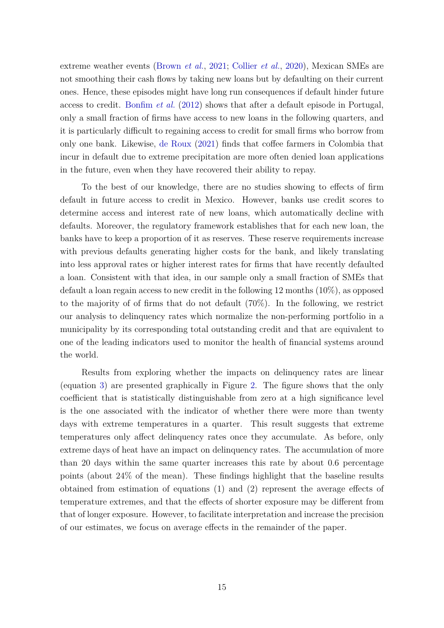extreme weather events [\(Brown](#page-23-7) *et al.*, [2021;](#page-23-7) [Collier](#page-23-8) *et al.*, [2020\)](#page-23-8), Mexican SMEs are not smoothing their cash flows by taking new loans but by defaulting on their current ones. Hence, these episodes might have long run consequences if default hinder future access to credit. [Bonfim](#page-22-4) *et al.* [\(2012\)](#page-22-4) shows that after a default episode in Portugal, only a small fraction of firms have access to new loans in the following quarters, and it is particularly difficult to regaining access to credit for small firms who borrow from only one bank. Likewise, [de Roux](#page-23-6) [\(2021\)](#page-23-6) finds that coffee farmers in Colombia that incur in default due to extreme precipitation are more often denied loan applications in the future, even when they have recovered their ability to repay.

To the best of our knowledge, there are no studies showing to effects of firm default in future access to credit in Mexico. However, banks use credit scores to determine access and interest rate of new loans, which automatically decline with defaults. Moreover, the regulatory framework establishes that for each new loan, the banks have to keep a proportion of it as reserves. These reserve requirements increase with previous defaults generating higher costs for the bank, and likely translating into less approval rates or higher interest rates for firms that have recently defaulted a loan. Consistent with that idea, in our sample only a small fraction of SMEs that default a loan regain access to new credit in the following 12 months (10%), as opposed to the majority of of firms that do not default (70%). In the following, we restrict our analysis to delinquency rates which normalize the non-performing portfolio in a municipality by its corresponding total outstanding credit and that are equivalent to one of the leading indicators used to monitor the health of financial systems around the world.

Results from exploring whether the impacts on delinquency rates are linear (equation [3\)](#page-15-2) are presented graphically in Figure [2.](#page-27-0) The figure shows that the only coefficient that is statistically distinguishable from zero at a high significance level is the one associated with the indicator of whether there were more than twenty days with extreme temperatures in a quarter. This result suggests that extreme temperatures only affect delinquency rates once they accumulate. As before, only extreme days of heat have an impact on delinquency rates. The accumulation of more than 20 days within the same quarter increases this rate by about 0.6 percentage points (about 24% of the mean). These findings highlight that the baseline results obtained from estimation of equations (1) and (2) represent the average effects of temperature extremes, and that the effects of shorter exposure may be different from that of longer exposure. However, to facilitate interpretation and increase the precision of our estimates, we focus on average effects in the remainder of the paper.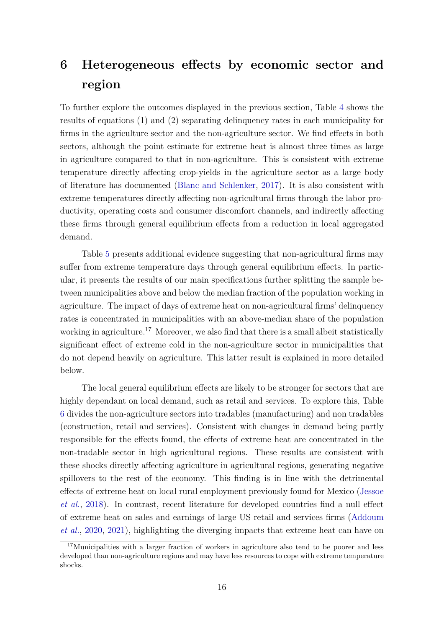## <span id="page-18-0"></span>**6 Heterogeneous effects by economic sector and region**

To further explore the outcomes displayed in the previous section, Table [4](#page-31-0) shows the results of equations (1) and (2) separating delinquency rates in each municipality for firms in the agriculture sector and the non-agriculture sector. We find effects in both sectors, although the point estimate for extreme heat is almost three times as large in agriculture compared to that in non-agriculture. This is consistent with extreme temperature directly affecting crop-yields in the agriculture sector as a large body of literature has documented [\(Blanc and Schlenker,](#page-22-0) [2017\)](#page-22-0). It is also consistent with extreme temperatures directly affecting non-agricultural firms through the labor productivity, operating costs and consumer discomfort channels, and indirectly affecting these firms through general equilibrium effects from a reduction in local aggregated demand.

Table [5](#page-32-0) presents additional evidence suggesting that non-agricultural firms may suffer from extreme temperature days through general equilibrium effects. In particular, it presents the results of our main specifications further splitting the sample between municipalities above and below the median fraction of the population working in agriculture. The impact of days of extreme heat on non-agricultural firms' delinquency rates is concentrated in municipalities with an above-median share of the population working in agriculture.<sup>17</sup> Moreover, we also find that there is a small albeit statistically significant effect of extreme cold in the non-agriculture sector in municipalities that do not depend heavily on agriculture. This latter result is explained in more detailed below.

The local general equilibrium effects are likely to be stronger for sectors that are highly dependant on local demand, such as retail and services. To explore this, Table [6](#page-33-0) divides the non-agriculture sectors into tradables (manufacturing) and non tradables (construction, retail and services). Consistent with changes in demand being partly responsible for the effects found, the effects of extreme heat are concentrated in the non-tradable sector in high agricultural regions. These results are consistent with these shocks directly affecting agriculture in agricultural regions, generating negative spillovers to the rest of the economy. This finding is in line with the detrimental effects of extreme heat on local rural employment previously found for Mexico [\(Jessoe](#page-24-3) *[et al.](#page-24-3)*, [2018\)](#page-24-3). In contrast, recent literature for developed countries find a null effect of extreme heat on sales and earnings of large US retail and services firms [\(Addoum](#page-22-5) *[et al.](#page-22-5)*, [2020,](#page-22-5) [2021\)](#page-22-1), highlighting the diverging impacts that extreme heat can have on

<sup>&</sup>lt;sup>17</sup>Municipalities with a larger fraction of workers in agriculture also tend to be poorer and less developed than non-agriculture regions and may have less resources to cope with extreme temperature shocks.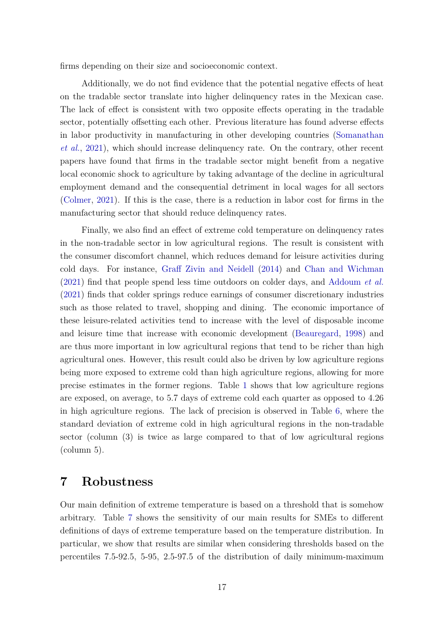firms depending on their size and socioeconomic context.

Additionally, we do not find evidence that the potential negative effects of heat on the tradable sector translate into higher delinquency rates in the Mexican case. The lack of effect is consistent with two opposite effects operating in the tradable sector, potentially offsetting each other. Previous literature has found adverse effects in labor productivity in manufacturing in other developing countries [\(Somanathan](#page-25-2) *[et al.](#page-25-2)*, [2021\)](#page-25-2), which should increase delinquency rate. On the contrary, other recent papers have found that firms in the tradable sector might benefit from a negative local economic shock to agriculture by taking advantage of the decline in agricultural employment demand and the consequential detriment in local wages for all sectors [\(Colmer,](#page-23-3) [2021\)](#page-23-3). If this is the case, there is a reduction in labor cost for firms in the manufacturing sector that should reduce delinquency rates.

Finally, we also find an effect of extreme cold temperature on delinquency rates in the non-tradable sector in low agricultural regions. The result is consistent with the consumer discomfort channel, which reduces demand for leisure activities during cold days. For instance, [Graff Zivin and Neidell](#page-24-2) [\(2014\)](#page-24-2) and [Chan and Wichman](#page-23-9) [\(2021\)](#page-23-9) find that people spend less time outdoors on colder days, and [Addoum](#page-22-1) *et al.* [\(2021\)](#page-22-1) finds that colder springs reduce earnings of consumer discretionary industries such as those related to travel, shopping and dining. The economic importance of these leisure-related activities tend to increase with the level of disposable income and leisure time that increase with economic development [\(Beauregard,](#page-22-15) [1998\)](#page-22-15) and are thus more important in low agricultural regions that tend to be richer than high agricultural ones. However, this result could also be driven by low agriculture regions being more exposed to extreme cold than high agriculture regions, allowing for more precise estimates in the former regions. Table [1](#page-28-0) shows that low agriculture regions are exposed, on average, to 5.7 days of extreme cold each quarter as opposed to 4.26 in high agriculture regions. The lack of precision is observed in Table [6,](#page-33-0) where the standard deviation of extreme cold in high agricultural regions in the non-tradable sector (column (3) is twice as large compared to that of low agricultural regions (column 5).

#### <span id="page-19-0"></span>**7 Robustness**

Our main definition of extreme temperature is based on a threshold that is somehow arbitrary. Table [7](#page-34-0) shows the sensitivity of our main results for SMEs to different definitions of days of extreme temperature based on the temperature distribution. In particular, we show that results are similar when considering thresholds based on the percentiles 7.5-92.5, 5-95, 2.5-97.5 of the distribution of daily minimum-maximum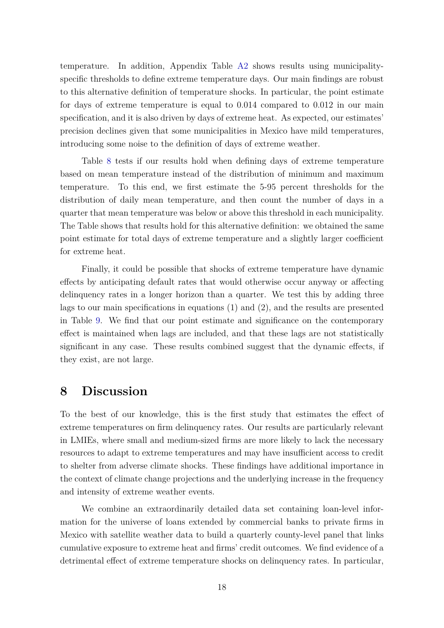temperature. In addition, Appendix Table [A2](#page-39-0) shows results using municipalityspecific thresholds to define extreme temperature days. Our main findings are robust to this alternative definition of temperature shocks. In particular, the point estimate for days of extreme temperature is equal to 0.014 compared to 0.012 in our main specification, and it is also driven by days of extreme heat. As expected, our estimates' precision declines given that some municipalities in Mexico have mild temperatures, introducing some noise to the definition of days of extreme weather.

Table [8](#page-35-0) tests if our results hold when defining days of extreme temperature based on mean temperature instead of the distribution of minimum and maximum temperature. To this end, we first estimate the 5-95 percent thresholds for the distribution of daily mean temperature, and then count the number of days in a quarter that mean temperature was below or above this threshold in each municipality. The Table shows that results hold for this alternative definition: we obtained the same point estimate for total days of extreme temperature and a slightly larger coefficient for extreme heat.

Finally, it could be possible that shocks of extreme temperature have dynamic effects by anticipating default rates that would otherwise occur anyway or affecting delinquency rates in a longer horizon than a quarter. We test this by adding three lags to our main specifications in equations (1) and (2), and the results are presented in Table [9.](#page-36-0) We find that our point estimate and significance on the contemporary effect is maintained when lags are included, and that these lags are not statistically significant in any case. These results combined suggest that the dynamic effects, if they exist, are not large.

## <span id="page-20-0"></span>**8 Discussion**

To the best of our knowledge, this is the first study that estimates the effect of extreme temperatures on firm delinquency rates. Our results are particularly relevant in LMIEs, where small and medium-sized firms are more likely to lack the necessary resources to adapt to extreme temperatures and may have insufficient access to credit to shelter from adverse climate shocks. These findings have additional importance in the context of climate change projections and the underlying increase in the frequency and intensity of extreme weather events.

We combine an extraordinarily detailed data set containing loan-level information for the universe of loans extended by commercial banks to private firms in Mexico with satellite weather data to build a quarterly county-level panel that links cumulative exposure to extreme heat and firms' credit outcomes. We find evidence of a detrimental effect of extreme temperature shocks on delinquency rates. In particular,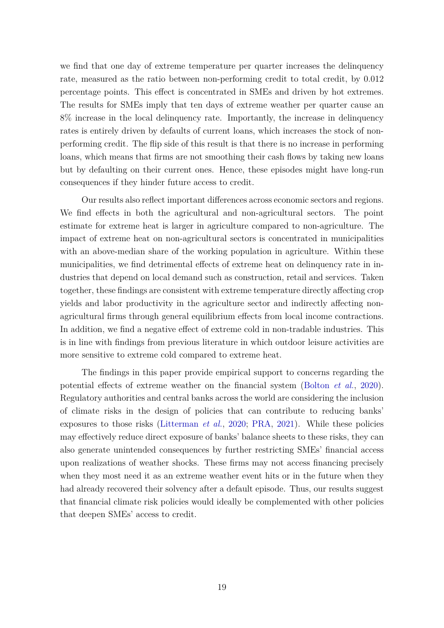we find that one day of extreme temperature per quarter increases the delinquency rate, measured as the ratio between non-performing credit to total credit, by 0.012 percentage points. This effect is concentrated in SMEs and driven by hot extremes. The results for SMEs imply that ten days of extreme weather per quarter cause an 8% increase in the local delinquency rate. Importantly, the increase in delinquency rates is entirely driven by defaults of current loans, which increases the stock of nonperforming credit. The flip side of this result is that there is no increase in performing loans, which means that firms are not smoothing their cash flows by taking new loans but by defaulting on their current ones. Hence, these episodes might have long-run consequences if they hinder future access to credit.

Our results also reflect important differences across economic sectors and regions. We find effects in both the agricultural and non-agricultural sectors. The point estimate for extreme heat is larger in agriculture compared to non-agriculture. The impact of extreme heat on non-agricultural sectors is concentrated in municipalities with an above-median share of the working population in agriculture. Within these municipalities, we find detrimental effects of extreme heat on delinquency rate in industries that depend on local demand such as construction, retail and services. Taken together, these findings are consistent with extreme temperature directly affecting crop yields and labor productivity in the agriculture sector and indirectly affecting nonagricultural firms through general equilibrium effects from local income contractions. In addition, we find a negative effect of extreme cold in non-tradable industries. This is in line with findings from previous literature in which outdoor leisure activities are more sensitive to extreme cold compared to extreme heat.

The findings in this paper provide empirical support to concerns regarding the potential effects of extreme weather on the financial system [\(Bolton](#page-22-6) *et al.*, [2020\)](#page-22-6). Regulatory authorities and central banks across the world are considering the inclusion of climate risks in the design of policies that can contribute to reducing banks' exposures to those risks [\(Litterman](#page-25-11) *et al.*, [2020;](#page-25-11) [PRA,](#page-25-12) [2021\)](#page-25-12). While these policies may effectively reduce direct exposure of banks' balance sheets to these risks, they can also generate unintended consequences by further restricting SMEs' financial access upon realizations of weather shocks. These firms may not access financing precisely when they most need it as an extreme weather event hits or in the future when they had already recovered their solvency after a default episode. Thus, our results suggest that financial climate risk policies would ideally be complemented with other policies that deepen SMEs' access to credit.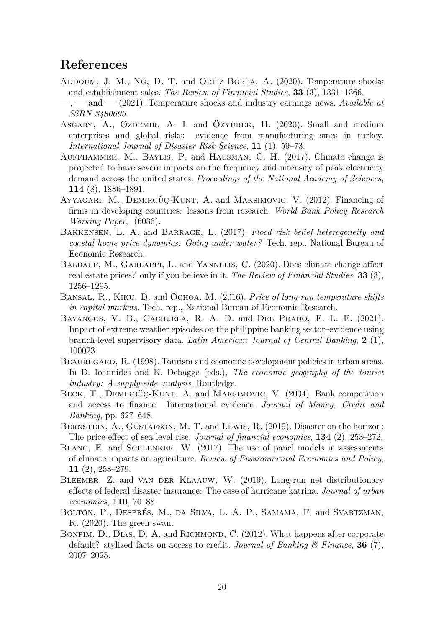## **References**

- <span id="page-22-5"></span>Addoum, J. M., Ng, D. T. and Ortiz-Bobea, A. (2020). Temperature shocks and establishment sales. *The Review of Financial Studies*, **33** (3), 1331–1366.
- <span id="page-22-1"></span>—, — and — (2021). Temperature shocks and industry earnings news. *Available at SSRN 3480695*.
- <span id="page-22-14"></span>ASGARY, A., OZDEMIR, A. I. and ÖZYÜREK, H. (2020). Small and medium enterprises and global risks: evidence from manufacturing smes in turkey. *International Journal of Disaster Risk Science*, **11** (1), 59–73.
- <span id="page-22-13"></span>AUFFHAMMER, M., BAYLIS, P. and HAUSMAN, C. H. (2017). Climate change is projected to have severe impacts on the frequency and intensity of peak electricity demand across the united states. *Proceedings of the National Academy of Sciences*, **114** (8), 1886–1891.
- <span id="page-22-3"></span>Ayyagari, M., Demirgüç-Kunt, A. and Maksimovic, V. (2012). Financing of firms in developing countries: lessons from research. *World Bank Policy Research Working Paper*, (6036).
- <span id="page-22-9"></span>Bakkensen, L. A. and Barrage, L. (2017). *Flood risk belief heterogeneity and coastal home price dynamics: Going under water?* Tech. rep., National Bureau of Economic Research.
- <span id="page-22-11"></span>BALDAUF, M., GARLAPPI, L. and YANNELIS, C. (2020). Does climate change affect real estate prices? only if you believe in it. *The Review of Financial Studies*, **33** (3), 1256–1295.
- <span id="page-22-12"></span>Bansal, R., Kiku, D. and Ochoa, M. (2016). *Price of long-run temperature shifts in capital markets*. Tech. rep., National Bureau of Economic Research.
- <span id="page-22-8"></span>BAYANGOS, V. B., CACHUELA, R. A. D. and DEL PRADO, F. L. E. (2021). Impact of extreme weather episodes on the philippine banking sector–evidence using branch-level supervisory data. *Latin American Journal of Central Banking*, **2** (1), 100023.
- <span id="page-22-15"></span>BEAUREGARD, R. (1998). Tourism and economic development policies in urban areas. In D. Ioannides and K. Debagge (eds.), *The economic geography of the tourist industry: A supply-side analysis*, Routledge.
- <span id="page-22-2"></span>BECK, T., DEMIRGÜÇ-KUNT, A. and MAKSIMOVIC, V. (2004). Bank competition and access to finance: International evidence. *Journal of Money, Credit and Banking*, pp. 627–648.
- <span id="page-22-10"></span>BERNSTEIN, A., GUSTAFSON, M. T. and LEWIS, R. (2019). Disaster on the horizon: The price effect of sea level rise. *Journal of financial economics*, **134** (2), 253–272.
- <span id="page-22-0"></span>Blanc, E. and Schlenker, W. (2017). The use of panel models in assessments of climate impacts on agriculture. *Review of Environmental Economics and Policy*, **11** (2), 258–279.
- <span id="page-22-7"></span>BLEEMER, Z. and VAN DER KLAAUW, W. (2019). Long-run net distributionary effects of federal disaster insurance: The case of hurricane katrina. *Journal of urban economics*, **110**, 70–88.
- <span id="page-22-6"></span>Bolton, P., Després, M., da Silva, L. A. P., Samama, F. and Svartzman, R. (2020). The green swan.
- <span id="page-22-4"></span>BONFIM, D., DIAS, D. A. and RICHMOND, C. (2012). What happens after corporate default? stylized facts on access to credit. *Journal of Banking & Finance*, **36** (7), 2007–2025.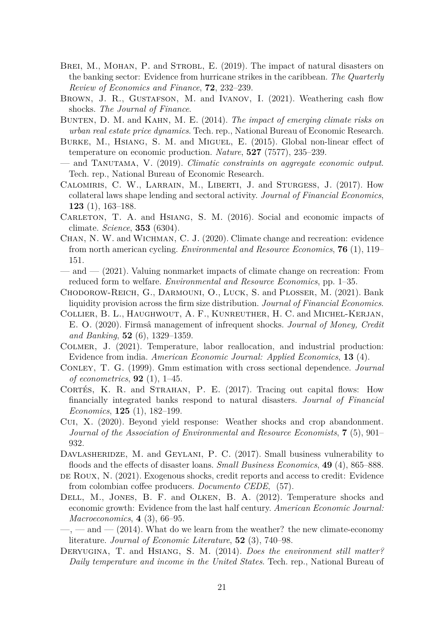- <span id="page-23-11"></span>BREI, M., MOHAN, P. and STROBL, E. (2019). The impact of natural disasters on the banking sector: Evidence from hurricane strikes in the caribbean. *The Quarterly Review of Economics and Finance*, **72**, 232–239.
- <span id="page-23-7"></span>BROWN, J. R., GUSTAFSON, M. and IVANOV, I. (2021). Weathering cash flow shocks. *The Journal of Finance*.
- <span id="page-23-13"></span>Bunten, D. M. and Kahn, M. E. (2014). *The impact of emerging climate risks on urban real estate price dynamics*. Tech. rep., National Bureau of Economic Research.
- <span id="page-23-1"></span>Burke, M., Hsiang, S. M. and Miguel, E. (2015). Global non-linear effect of temperature on economic production. *Nature*, **527** (7577), 235–239.
- <span id="page-23-17"></span>— and Tanutama, V. (2019). *Climatic constraints on aggregate economic output*. Tech. rep., National Bureau of Economic Research.
- <span id="page-23-4"></span>Calomiris, C. W., Larrain, M., Liberti, J. and Sturgess, J. (2017). How collateral laws shape lending and sectoral activity. *Journal of Financial Economics*, **123** (1), 163–188.
- <span id="page-23-2"></span>CARLETON, T. A. and HSIANG, S. M. (2016). Social and economic impacts of climate. *Science*, **353** (6304).
- <span id="page-23-16"></span>Chan, N. W. and Wichman, C. J. (2020). Climate change and recreation: evidence from north american cycling. *Environmental and Resource Economics*, **76** (1), 119– 151.
- <span id="page-23-9"></span>— and — (2021). Valuing nonmarket impacts of climate change on recreation: From reduced form to welfare. *Environmental and Resource Economics*, pp. 1–35.
- <span id="page-23-15"></span>Chodorow-Reich, G., Darmouni, O., Luck, S. and Plosser, M. (2021). Bank liquidity provision across the firm size distribution. *Journal of Financial Economics*.
- <span id="page-23-8"></span>Collier, B. L., Haughwout, A. F., Kunreuther, H. C. and Michel-Kerjan, E. O. (2020). Firmsâ management of infrequent shocks. *Journal of Money, Credit and Banking*, **52** (6), 1329–1359.
- <span id="page-23-3"></span>Colmer, J. (2021). Temperature, labor reallocation, and industrial production: Evidence from india. *American Economic Journal: Applied Economics*, **13** (4).
- <span id="page-23-19"></span>Conley, T. G. (1999). Gmm estimation with cross sectional dependence. *Journal of econometrics*, **92** (1), 1–45.
- <span id="page-23-12"></span>CORTÉS, K. R. and STRAHAN, P. E. (2017). Tracing out capital flows: How financially integrated banks respond to natural disasters. *Journal of Financial Economics*, **125** (1), 182–199.
- <span id="page-23-14"></span>Cui, X. (2020). Beyond yield response: Weather shocks and crop abandonment. *Journal of the Association of Environmental and Resource Economists*, **7** (5), 901– 932.
- <span id="page-23-10"></span>DAVLASHERIDZE, M. and GEYLANI, P. C. (2017). Small business vulnerability to floods and the effects of disaster loans. *Small Business Economics*, **49** (4), 865–888.
- <span id="page-23-6"></span>de Roux, N. (2021). Exogenous shocks, credit reports and access to credit: Evidence from colombian coffee producers. *Documento CEDE*, (57).
- <span id="page-23-0"></span>Dell, M., Jones, B. F. and Olken, B. A. (2012). Temperature shocks and economic growth: Evidence from the last half century. *American Economic Journal: Macroeconomics*, **4** (3), 66–95.
- <span id="page-23-5"></span> $\longrightarrow$ ,  $\longrightarrow$  and  $\longrightarrow$  (2014). What do we learn from the weather? the new climate-economy literature. *Journal of Economic Literature*, **52** (3), 740–98.
- <span id="page-23-18"></span>Deryugina, T. and Hsiang, S. M. (2014). *Does the environment still matter? Daily temperature and income in the United States*. Tech. rep., National Bureau of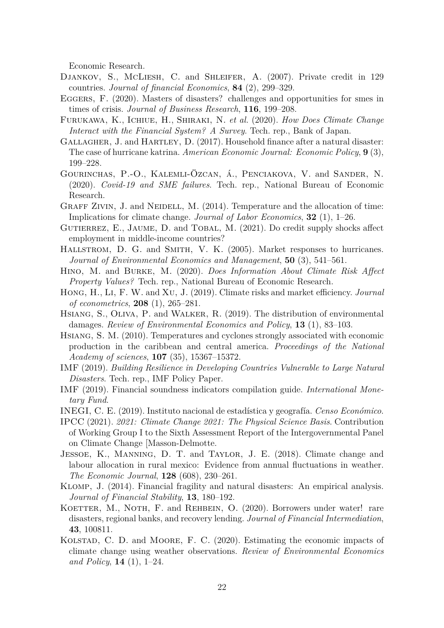Economic Research.

- <span id="page-24-6"></span>DJANKOV, S., MCLIESH, C. and SHLEIFER, A. (2007). Private credit in 129 countries. *Journal of financial Economics*, **84** (2), 299–329.
- <span id="page-24-5"></span>EGGERS, F. (2020). Masters of disasters? challenges and opportunities for smes in times of crisis. *Journal of Business Research*, **116**, 199–208.
- <span id="page-24-10"></span>Furukawa, K., Ichiue, H., Shiraki, N. *et al.* (2020). *How Does Climate Change Interact with the Financial System? A Survey*. Tech. rep., Bank of Japan.
- <span id="page-24-13"></span>GALLAGHER, J. and HARTLEY, D. (2017). Household finance after a natural disaster: The case of hurricane katrina. *American Economic Journal: Economic Policy*, **9** (3), 199–228.
- <span id="page-24-4"></span>Gourinchas, P.-O., Kalemli-Özcan, á., Penciakova, V. and Sander, N. (2020). *Covid-19 and SME failures*. Tech. rep., National Bureau of Economic Research.
- <span id="page-24-2"></span>GRAFF ZIVIN, J. and NEIDELL, M. (2014). Temperature and the allocation of time: Implications for climate change. *Journal of Labor Economics*, **32** (1), 1–26.
- <span id="page-24-7"></span>GUTIERREZ, E., JAUME, D. and TOBAL, M. (2021). Do credit supply shocks affect employment in middle-income countries?
- <span id="page-24-16"></span>HALLSTROM, D. G. and SMITH, V. K. (2005). Market responses to hurricanes. *Journal of Environmental Economics and Management*, **50** (3), 541–561.
- <span id="page-24-17"></span>Hino, M. and Burke, M. (2020). *Does Information About Climate Risk Affect Property Values?* Tech. rep., National Bureau of Economic Research.
- <span id="page-24-18"></span>Hong, H., Li, F. W. and Xu, J. (2019). Climate risks and market efficiency. *Journal of econometrics*, **208** (1), 265–281.
- <span id="page-24-1"></span>Hsiang, S., Oliva, P. and Walker, R. (2019). The distribution of environmental damages. *Review of Environmental Economics and Policy*, **13** (1), 83–103.
- <span id="page-24-9"></span>Hsiang, S. M. (2010). Temperatures and cyclones strongly associated with economic production in the caribbean and central america. *Proceedings of the National Academy of sciences*, **107** (35), 15367–15372.
- <span id="page-24-11"></span>IMF (2019). *Building Resilience in Developing Countries Vulnerable to Large Natural Disasters*. Tech. rep., IMF Policy Paper.
- <span id="page-24-19"></span>IMF (2019). Financial soundness indicators compilation guide. *International Monetary Fund*.
- <span id="page-24-8"></span>INEGI, C. E. (2019). Instituto nacional de estadística y geografía. *Censo Económico*.
- <span id="page-24-0"></span>IPCC (2021). *2021: Climate Change 2021: The Physical Science Basis*. Contribution of Working Group I to the Sixth Assessment Report of the Intergovernmental Panel on Climate Change [Masson-Delmotte.
- <span id="page-24-3"></span>Jessoe, K., Manning, D. T. and Taylor, J. E. (2018). Climate change and labour allocation in rural mexico: Evidence from annual fluctuations in weather. *The Economic Journal*, **128** (608), 230–261.
- <span id="page-24-15"></span>Klomp, J. (2014). Financial fragility and natural disasters: An empirical analysis. *Journal of Financial Stability*, **13**, 180–192.
- <span id="page-24-14"></span>KOETTER, M., NOTH, F. and REHBEIN, O. (2020). Borrowers under water! rare disasters, regional banks, and recovery lending. *Journal of Financial Intermediation*, **43**, 100811.
- <span id="page-24-12"></span>KOLSTAD, C. D. and MOORE, F. C. (2020). Estimating the economic impacts of climate change using weather observations. *Review of Environmental Economics and Policy*, **14** (1), 1–24.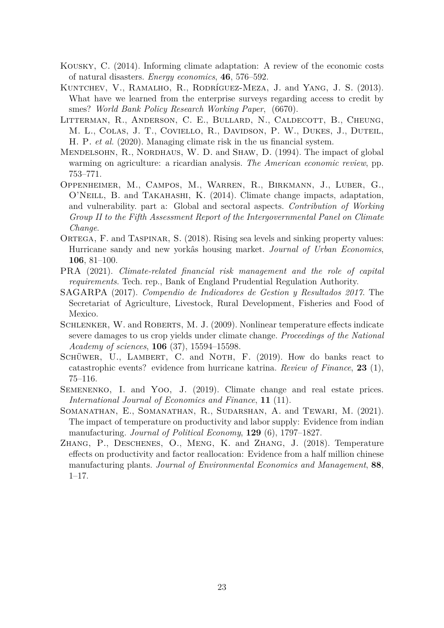- <span id="page-25-4"></span>Kousky, C. (2014). Informing climate adaptation: A review of the economic costs of natural disasters. *Energy economics*, **46**, 576–592.
- <span id="page-25-9"></span>Kuntchev, V., Ramalho, R., Rodríguez-Meza, J. and Yang, J. S. (2013). What have we learned from the enterprise surveys regarding access to credit by smes? *World Bank Policy Research Working Paper*, (6670).
- <span id="page-25-11"></span>Litterman, R., Anderson, C. E., Bullard, N., Caldecott, B., Cheung, M. L., Colas, J. T., Coviello, R., Davidson, P. W., Dukes, J., Duteil, H. P. *et al.* (2020). Managing climate risk in the us financial system.
- <span id="page-25-3"></span>MENDELSOHN, R., NORDHAUS, W. D. and SHAW, D. (1994). The impact of global warming on agriculture: a ricardian analysis. *The American economic review*, pp. 753–771.
- <span id="page-25-0"></span>Oppenheimer, M., Campos, M., Warren, R., Birkmann, J., Luber, G., O'Neill, B. and Takahashi, K. (2014). Climate change impacts, adaptation, and vulnerability. part a: Global and sectoral aspects. *Contribution of Working Group II to the Fifth Assessment Report of the Intergovernmental Panel on Climate Change*.
- <span id="page-25-7"></span>ORTEGA, F. and TASPINAR, S. (2018). Rising sea levels and sinking property values: Hurricane sandy and new yorkâs housing market. *Journal of Urban Economics*, **106**, 81–100.
- <span id="page-25-12"></span>PRA (2021). *Climate-related financial risk management and the role of capital requirements*. Tech. rep., Bank of England Prudential Regulation Authority.
- <span id="page-25-8"></span>SAGARPA (2017). *Compendio de Indicadores de Gestion y Resultados 2017*. The Secretariat of Agriculture, Livestock, Rural Development, Fisheries and Food of Mexico.
- <span id="page-25-10"></span>SCHLENKER, W. and ROBERTS, M. J. (2009). Nonlinear temperature effects indicate severe damages to us crop yields under climate change. *Proceedings of the National Academy of sciences*, **106** (37), 15594–15598.
- <span id="page-25-6"></span>SCHÜWER, U., LAMBERT, C. and NOTH, F. (2019). How do banks react to catastrophic events? evidence from hurricane katrina. *Review of Finance*, **23** (1), 75–116.
- <span id="page-25-5"></span>SEMENENKO, I. and Yoo, J. (2019). Climate change and real estate prices. *International Journal of Economics and Finance*, **11** (11).
- <span id="page-25-2"></span>Somanathan, E., Somanathan, R., Sudarshan, A. and Tewari, M. (2021). The impact of temperature on productivity and labor supply: Evidence from indian manufacturing. *Journal of Political Economy*, **129** (6), 1797–1827.
- <span id="page-25-1"></span>Zhang, P., Deschenes, O., Meng, K. and Zhang, J. (2018). Temperature effects on productivity and factor reallocation: Evidence from a half million chinese manufacturing plants. *Journal of Environmental Economics and Management*, **88**, 1–17.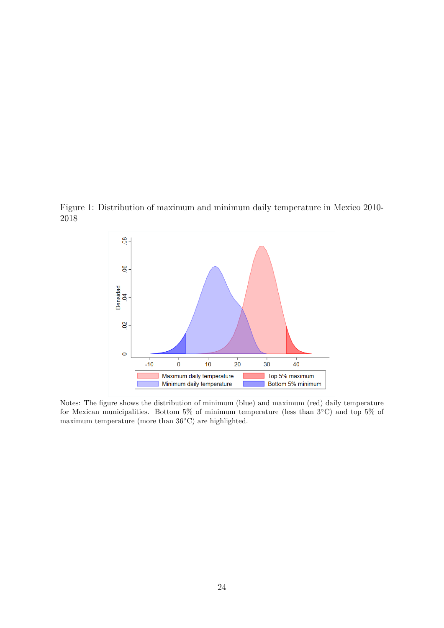<span id="page-26-0"></span>

<span id="page-26-1"></span>

Notes: The figure shows the distribution of minimum (blue) and maximum (red) daily temperature for Mexican municipalities. Bottom 5% of minimum temperature (less than  $3°C$ ) and top 5% of maximum temperature (more than 36◦C) are highlighted.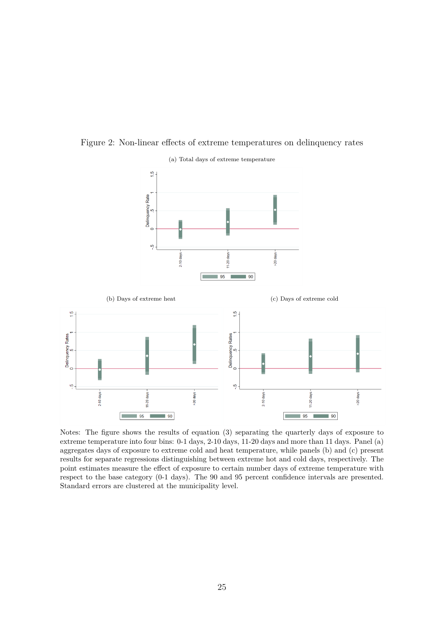

<span id="page-27-0"></span>Figure 2: Non-linear effects of extreme temperatures on delinquency rates



Notes: The figure shows the results of equation (3) separating the quarterly days of exposure to extreme temperature into four bins: 0-1 days, 2-10 days, 11-20 days and more than 11 days. Panel (a) aggregates days of exposure to extreme cold and heat temperature, while panels (b) and (c) present results for separate regressions distinguishing between extreme hot and cold days, respectively. The point estimates measure the effect of exposure to certain number days of extreme temperature with respect to the base category (0-1 days). The 90 and 95 percent confidence intervals are presented.

Standard errors are clustered at the municipality level.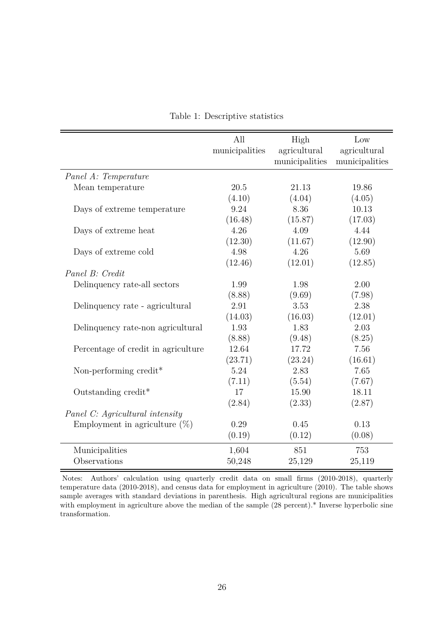<span id="page-28-0"></span>

|                                     | All            | High           | Low            |
|-------------------------------------|----------------|----------------|----------------|
|                                     | municipalities | agricultural   | agricultural   |
|                                     |                | municipalities | municipalities |
| Panel A: Temperature                |                |                |                |
| Mean temperature                    | 20.5           | 21.13          | 19.86          |
|                                     | (4.10)         | (4.04)         | (4.05)         |
| Days of extreme temperature         | 9.24           | 8.36           | 10.13          |
|                                     | (16.48)        | (15.87)        | (17.03)        |
| Days of extreme heat                | 4.26           | 4.09           | 4.44           |
|                                     | (12.30)        | (11.67)        | (12.90)        |
| Days of extreme cold                | 4.98           | 4.26           | 5.69           |
|                                     | (12.46)        | (12.01)        | (12.85)        |
| Panel B: Credit                     |                |                |                |
| Delinquency rate-all sectors        | 1.99           | 1.98           | 2.00           |
|                                     | (8.88)         | (9.69)         | (7.98)         |
| Delinquency rate - agricultural     | 2.91           | 3.53           | 2.38           |
|                                     | (14.03)        | (16.03)        | (12.01)        |
| Delinquency rate-non agricultural   | 1.93           | 1.83           | 2.03           |
|                                     | (8.88)         | (9.48)         | (8.25)         |
| Percentage of credit in agriculture | 12.64          | 17.72          | 7.56           |
|                                     | (23.71)        | (23.24)        | (16.61)        |
| Non-performing credit*              | 5.24           | 2.83           | 7.65           |
|                                     | (7.11)         | (5.54)         | (7.67)         |
| Outstanding credit*                 | 17             | 15.90          | 18.11          |
|                                     | (2.84)         | (2.33)         | (2.87)         |
| Panel C: Agricultural intensity     |                |                |                |
| Employment in agriculture $(\%)$    | 0.29           | 0.45           | 0.13           |
|                                     | (0.19)         | (0.12)         | (0.08)         |
| Municipalities                      | 1,604          | 851            | 753            |
| Observations                        | 50,248         | 25,129         | 25,119         |

Table 1: Descriptive statistics

Notes: Authors' calculation using quarterly credit data on small firms (2010-2018), quarterly temperature data (2010-2018), and census data for employment in agriculture (2010). The table shows sample averages with standard deviations in parenthesis. High agricultural regions are municipalities with employment in agriculture above the median of the sample  $(28$  percent).<sup>\*</sup> Inverse hyperbolic sine transformation.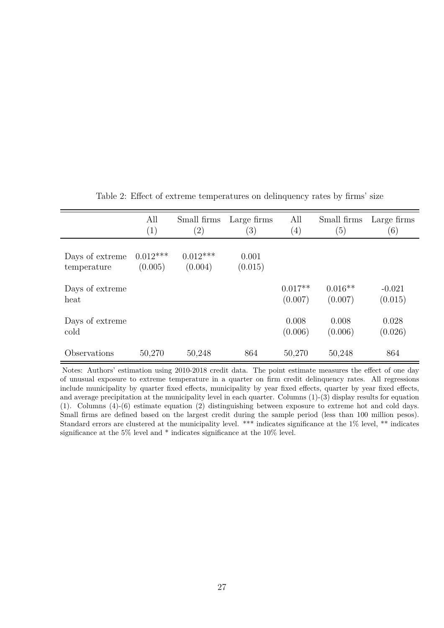<span id="page-29-0"></span>

|                                | All<br>(1)            | Small firms<br>$\left( 2\right)$ | Large firms<br>(3) | All<br>(4)           | Small firms<br>(5)   | Large firms<br>(6)  |
|--------------------------------|-----------------------|----------------------------------|--------------------|----------------------|----------------------|---------------------|
| Days of extreme<br>temperature | $0.012***$<br>(0.005) | $0.012***$<br>(0.004)            | 0.001<br>(0.015)   |                      |                      |                     |
| Days of extreme<br>heat        |                       |                                  |                    | $0.017**$<br>(0.007) | $0.016**$<br>(0.007) | $-0.021$<br>(0.015) |
| Days of extreme<br>cold        |                       |                                  |                    | 0.008<br>(0.006)     | 0.008<br>(0.006)     | 0.028<br>(0.026)    |
| Observations                   | 50,270                | 50,248                           | 864                | 50,270               | 50,248               | 864                 |

<span id="page-29-1"></span>Table 2: Effect of extreme temperatures on delinquency rates by firms' size

Notes: Authors' estimation using 2010-2018 credit data. The point estimate measures the effect of one day of unusual exposure to extreme temperature in a quarter on firm credit delinquency rates. All regressions include municipality by quarter fixed effects, municipality by year fixed effects, quarter by year fixed effects, and average precipitation at the municipality level in each quarter. Columns  $(1)-(3)$  display results for equation (1). Columns (4)-(6) estimate equation (2) distinguishing between exposure to extreme hot and cold days. Small firms are defined based on the largest credit during the sample period (less than 100 million pesos). Standard errors are clustered at the municipality level. \*\*\* indicates significance at the 1% level, \*\* indicates significance at the 5% level and \* indicates significance at the 10% level.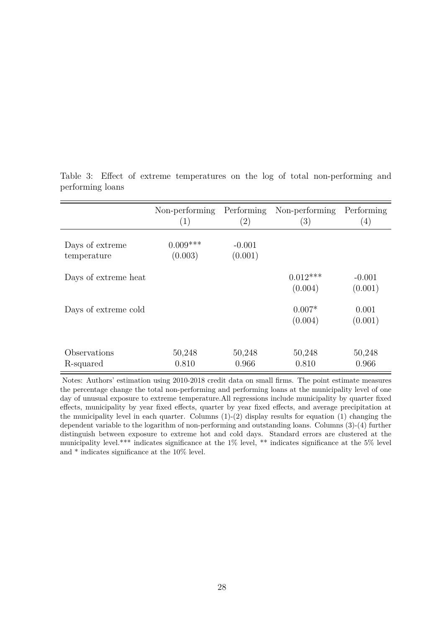|                                | Non-performing<br>(1) | Performing<br>$\left( 2\right)$ | Non-performing<br>$\left(3\right)$ | Performing<br>$\left( 4\right)$ |
|--------------------------------|-----------------------|---------------------------------|------------------------------------|---------------------------------|
| Days of extreme<br>temperature | $0.009***$<br>(0.003) | $-0.001$<br>(0.001)             |                                    |                                 |
| Days of extreme heat           |                       |                                 | $0.012***$<br>(0.004)              | $-0.001$<br>(0.001)             |
| Days of extreme cold           |                       |                                 | $0.007*$<br>(0.004)                | 0.001<br>(0.001)                |
| Observations<br>R-squared      | 50,248<br>0.810       | 50,248<br>0.966                 | 50,248<br>0.810                    | 50,248<br>0.966                 |

<span id="page-30-0"></span>Table 3: Effect of extreme temperatures on the log of total non-performing and performing loans

Notes: Authors' estimation using 2010-2018 credit data on small firms. The point estimate measures the percentage change the total non-performing and performing loans at the municipality level of one day of unusual exposure to extreme temperature.All regressions include municipality by quarter fixed effects, municipality by year fixed effects, quarter by year fixed effects, and average precipitation at the municipality level in each quarter. Columns  $(1)-(2)$  display results for equation  $(1)$  changing the dependent variable to the logarithm of non-performing and outstanding loans. Columns (3)-(4) further distinguish between exposure to extreme hot and cold days. Standard errors are clustered at the municipality level.\*\*\* indicates significance at the  $1\%$  level, \*\* indicates significance at the 5% level and \* indicates significance at the 10% level.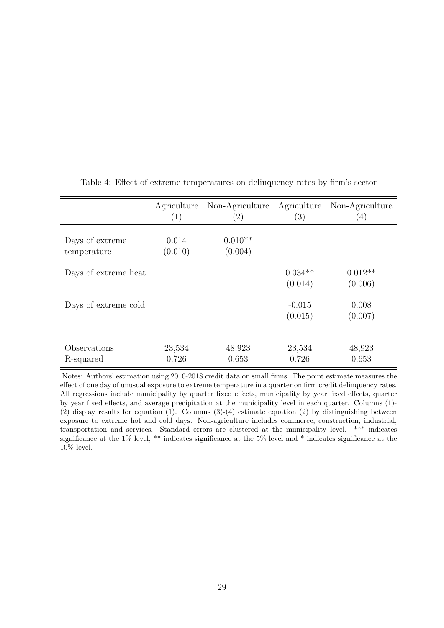|                                | Agriculture<br>(1) | Non-Agriculture<br>$\left( 2\right)$ | Agriculture<br>(3)   | Non-Agriculture<br>$\left( 4\right)$ |
|--------------------------------|--------------------|--------------------------------------|----------------------|--------------------------------------|
| Days of extreme<br>temperature | 0.014<br>(0.010)   | $0.010**$<br>(0.004)                 |                      |                                      |
| Days of extreme heat           |                    |                                      | $0.034**$<br>(0.014) | $0.012**$<br>(0.006)                 |
| Days of extreme cold           |                    |                                      | $-0.015$<br>(0.015)  | 0.008<br>(0.007)                     |
| Observations<br>R-squared      | 23,534<br>0.726    | 48,923<br>0.653                      | 23,534<br>0.726      | 48,923<br>0.653                      |

<span id="page-31-0"></span>Table 4: Effect of extreme temperatures on delinquency rates by firm's sector

Notes: Authors' estimation using 2010-2018 credit data on small firms. The point estimate measures the effect of one day of unusual exposure to extreme temperature in a quarter on firm credit delinquency rates. All regressions include municipality by quarter fixed effects, municipality by year fixed effects, quarter by year fixed effects, and average precipitation at the municipality level in each quarter. Columns (1)- (2) display results for equation (1). Columns (3)-(4) estimate equation (2) by distinguishing between exposure to extreme hot and cold days. Non-agriculture includes commerce, construction, industrial, transportation and services. Standard errors are clustered at the municipality level. \*\*\* indicates significance at the 1% level, \*\* indicates significance at the 5% level and \* indicates significance at the  $10\%$  level.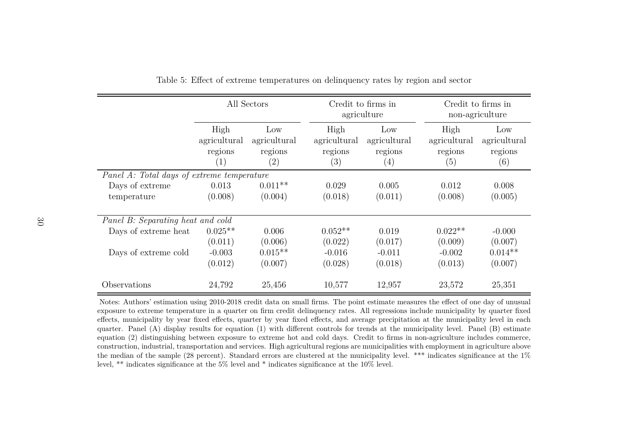|                                            | All Sectors                            |                                       |                                        | Credit to firms in<br>agriculture                   |                                        | Credit to firms in<br>non-agriculture |  |
|--------------------------------------------|----------------------------------------|---------------------------------------|----------------------------------------|-----------------------------------------------------|----------------------------------------|---------------------------------------|--|
|                                            | High<br>agricultural<br>regions<br>(1) | Low<br>agricultural<br>regions<br>(2) | High<br>agricultural<br>regions<br>(3) | Low<br>agricultural<br>regions<br>$\left( 4\right)$ | High<br>agricultural<br>regions<br>(5) | Low<br>agricultural<br>regions<br>(6) |  |
| Panel A: Total days of extreme temperature |                                        |                                       |                                        |                                                     |                                        |                                       |  |
| Days of extreme                            | 0.013                                  | $0.011**$                             | 0.029                                  | 0.005                                               | 0.012                                  | 0.008                                 |  |
| temperature                                | (0.008)                                | (0.004)                               | (0.018)                                | (0.011)                                             | (0.008)                                | (0.005)                               |  |
| Panel B: Separating heat and cold          |                                        |                                       |                                        |                                                     |                                        |                                       |  |
| Days of extreme heat                       | $0.025**$                              | 0.006                                 | $0.052**$                              | 0.019                                               | $0.022**$                              | $-0.000$                              |  |
|                                            | (0.011)                                | (0.006)                               | (0.022)                                | (0.017)                                             | (0.009)                                | (0.007)                               |  |
| Days of extreme cold                       | $-0.003$                               | $0.015**$                             | $-0.016$                               | $-0.011$                                            | $-0.002$                               | $0.014**$                             |  |
|                                            | (0.012)                                | (0.007)                               | (0.028)                                | (0.018)                                             | (0.013)                                | (0.007)                               |  |
| Observations                               | 24,792                                 | 25,456                                | 10,577                                 | 12,957                                              | 23,572                                 | 25,351                                |  |

Table 5: Effect of extreme temperatures on delinquency rates by region and sector

<span id="page-32-0"></span>Notes: Authors' estimation using 2010-2018 credit data on small firms. The point estimate measures the effect of one day of unusual exposure to extreme temperature in <sup>a</sup> quarter on firm credit delinquency rates. All regressions include municipality by quarter fixed effects, municipality by year fixed effects, quarter by year fixed effects, and average precipitation at the municipality level in each quarter. Panel (A) display results for equation (1) with different controls for trends at the municipality level. Panel (B) estimate equation (2) distinguishing between exposure to extreme hot and cold days. Credit to firms in non-agriculture includes commerce, construction, industrial, transportation and services. High agricultural regions are municipalities with employment in agriculture above the median of the sample (28 percent). Standard errors are clustered at the municipality level. \*\*\* indicates significance at the 1%level, \*\* indicates significance at the 5% level and \* indicates significance at the 10% level.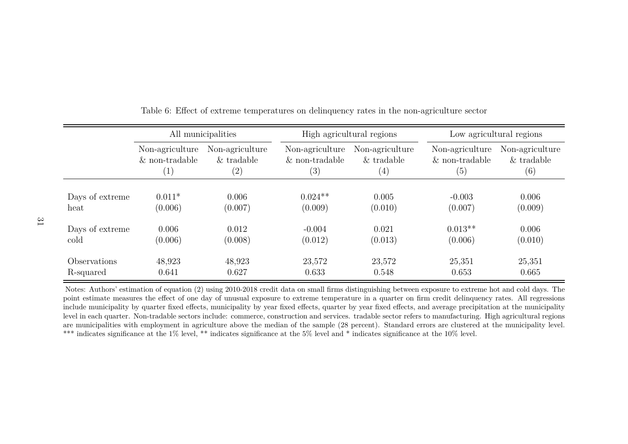|                 | All municipalities |                   |                  | High agricultural regions | Low agricultural regions |                 |
|-----------------|--------------------|-------------------|------------------|---------------------------|--------------------------|-----------------|
|                 | Non-agriculture    | Non-agriculture   | Non-agriculture  | Non-agriculture           | Non-agriculture          | Non-agriculture |
|                 | $&$ non-tradable   | $&$ tradable      | $&$ non-tradable | $&$ tradable              | $&$ non-tradable         | $&$ tradable    |
|                 | $\left( 1\right)$  | $\left( 2\right)$ | (3)              | $\left( 4\right)$         | (5)                      | (6)             |
| Days of extreme | $0.011*$           | 0.006             | $0.024**$        | 0.005                     | $-0.003$                 | 0.006           |
| heat            | (0.006)            | (0.007)           | (0.009)          | (0.010)                   | (0.007)                  | (0.009)         |
| Days of extreme | 0.006              | 0.012             | $-0.004$         | 0.021                     | $0.013**$                | 0.006           |
| cold            | (0.006)            | (0.008)           | (0.012)          | (0.013)                   | (0.006)                  | (0.010)         |
| Observations    | 48,923             | 48,923            | 23,572           | 23,572                    | 25,351                   | 25,351          |
| R-squared       | 0.641              | 0.627             | 0.633            | 0.548                     | 0.653                    | 0.665           |

Table 6: Effect of extreme temperatures on delinquency rates in the non-agriculture sector

<span id="page-33-0"></span>Notes: Authors' estimation of equation (2) using 2010-2018 credit data on small firms distinguishing between exposure to extreme hot and cold days. The point estimate measures the effect of one day of unusual exposure to extreme temperature in <sup>a</sup> quarter on firm credit delinquency rates. All regressions include municipality by quarter fixed effects, municipality by year fixed effects, quarter by year fixed effects, and average precipitation at the municipality level in each quarter. Non-tradable sectors include: commerce, construction and services. tradable sector refers to manufacturing. High agricultural regions are municipalities with employment in agriculture above the median of the sample (28 percent). Standard errors are clustered at the municipality level.\*\*\* indicates significance at the 1% level, \*\* indicates significance at the 5% level and \* indicates significance at the 10% level.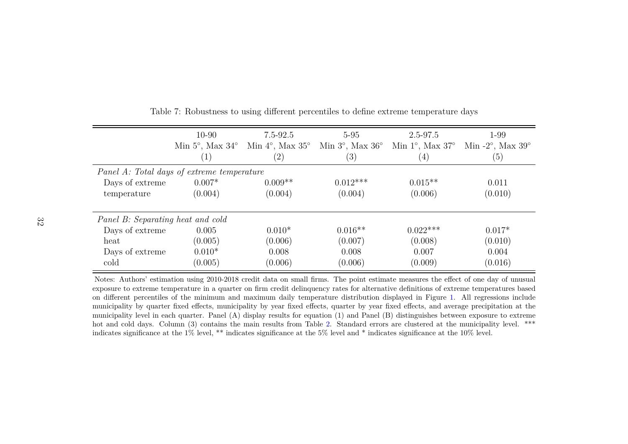|                                            | $10 - 90$                      | 7.5-92.5                       | $5 - 95$                       | $2.5 - 97.5$                   | 1-99                                |  |  |
|--------------------------------------------|--------------------------------|--------------------------------|--------------------------------|--------------------------------|-------------------------------------|--|--|
|                                            | Min $5^\circ$ , Max $34^\circ$ | Min $4^\circ$ , Max $35^\circ$ | Min $3^\circ$ , Max $36^\circ$ | Min $1^\circ$ , Max $37^\circ$ | Min $-2^{\circ}$ , Max $39^{\circ}$ |  |  |
|                                            | $\left( 1\right)$              | $\left( 2\right)$              | $\left( 3\right)$              | $\left( 4\right)$              | (5)                                 |  |  |
| Panel A: Total days of extreme temperature |                                |                                |                                |                                |                                     |  |  |
| Days of extreme                            | $0.007*$                       | $0.009**$                      | $0.012***$                     | $0.015**$                      | 0.011                               |  |  |
| temperature                                | (0.004)                        | (0.004)                        | (0.004)                        | (0.006)                        | (0.010)                             |  |  |
|                                            |                                |                                |                                |                                |                                     |  |  |
| Panel B: Separating heat and cold          |                                |                                |                                |                                |                                     |  |  |
| Days of extreme                            | 0.005                          | $0.010*$                       | $0.016**$                      | $0.022***$                     | $0.017*$                            |  |  |
| heat                                       | (0.005)                        | (0.006)                        | (0.007)                        | (0.008)                        | (0.010)                             |  |  |
| Days of extreme                            | $0.010*$                       | 0.008                          | 0.008                          | 0.007                          | 0.004                               |  |  |
| cold                                       | (0.005)                        | (0.006)                        | (0.006)                        | (0.009)                        | (0.016)                             |  |  |

Table 7: Robustness to using different percentiles to define extreme temperature days

<span id="page-34-0"></span>Notes: Authors' estimation using 2010-2018 credit data on small firms. The point estimate measures the effect of one day of unusual exposure to extreme temperature in <sup>a</sup> quarter on firm credit delinquency rates for alternative definitions of extreme temperatures based on different percentiles of the minimum and maximum daily temperature distribution displayed in Figure [1.](#page-26-1) All regressions include municipality by quarter fixed effects, municipality by year fixed effects, quarter by year fixed effects, and average precipitation at the municipality level in each quarter. Panel (A) display results for equation (1) and Panel (B) distinguishes between exposure to extremehot and cold days. Column (3) contains the main results from Table [2.](#page-29-1) Standard errors are clustered at the municipality level. \*\*\* indicates significance at the 1% level, \*\* indicates significance at the 5% level and \* indicates significance at the 10% level.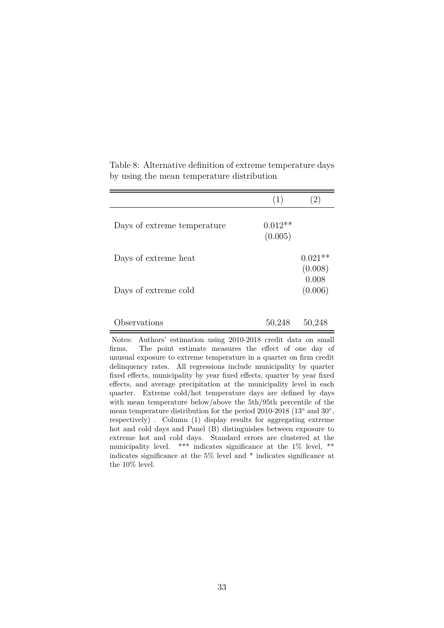|                             | (1)                  |                      |
|-----------------------------|----------------------|----------------------|
| Days of extreme temperature | $0.012**$<br>(0.005) |                      |
| Days of extreme heat        |                      | $0.021**$<br>(0.008) |
| Days of extreme cold        |                      | 0.008<br>(0.006)     |
| Observations                | 50,248               | 50,248               |

<span id="page-35-0"></span>Table 8: Alternative definition of extreme temperature days by using the mean temperature distribution

Notes: Authors' estimation using 2010-2018 credit data on small firms. The point estimate measures the effect of one day of unusual exposure to extreme temperature in a quarter on firm credit delinquency rates. All regressions include municipality by quarter fixed effects, municipality by year fixed effects, quarter by year fixed effects, and average precipitation at the municipality level in each quarter. Extreme cold/hot temperature days are defined by days with mean temperature below/above the 5th/95th percentile of the mean temperature distribution for the period 2010-2018 (13<sup>°</sup> and 30<sup>°</sup>, respectively) . Column (1) display results for aggregating extreme hot and cold days and Panel (B) distinguishes between exposure to extreme hot and cold days. Standard errors are clustered at the municipality level. \*\*\* indicates significance at the 1% level, \*\* indicates significance at the 5% level and \* indicates significance at the 10% level.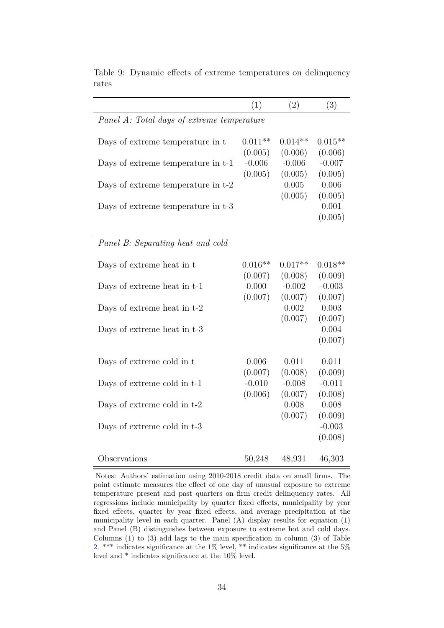|                                            | (1)       | (2)       | (3)       |
|--------------------------------------------|-----------|-----------|-----------|
| Panel A: Total days of extreme temperature |           |           |           |
|                                            |           |           |           |
| Days of extreme temperature in t           | $0.011**$ | $0.014**$ | $0.015**$ |
|                                            | (0.005)   | (0.006)   | (0.006)   |
| Days of extreme temperature in t-1         | $-0.006$  | $-0.006$  | $-0.007$  |
|                                            | (0.005)   | (0.005)   | (0.005)   |
| Days of extreme temperature in t-2         |           | 0.005     | 0.006     |
|                                            |           | (0.005)   | (0.005)   |
| Days of extreme temperature in t-3         |           |           | 0.001     |
|                                            |           |           | (0.005)   |
|                                            |           |           |           |
| Panel B: Separating heat and cold          |           |           |           |
|                                            |           |           |           |
| Days of extreme heat in t                  | $0.016**$ | $0.017**$ | $0.018**$ |
|                                            | (0.007)   | (0.008)   | (0.009)   |
| Days of extreme heat in t-1                | 0.000     | $-0.002$  | $-0.003$  |
|                                            | (0.007)   | (0.007)   | (0.007)   |
| Days of extreme heat in t-2                |           | 0.002     | 0.003     |
|                                            |           | (0.007)   | (0.007)   |
| Days of extreme heat in t-3                |           |           | 0.004     |
|                                            |           |           | (0.007)   |
|                                            | 0.006     | 0.011     | 0.011     |
| Days of extreme cold in t                  | (0.007)   | (0.008)   | (0.009)   |
| Days of extreme cold in t-1                | $-0.010$  | $-0.008$  | $-0.011$  |
|                                            | (0.006)   | (0.007)   | (0.008)   |
| Days of extreme cold in t-2                |           | 0.008     | 0.008     |
|                                            |           | (0.007)   | (0.009)   |
| Days of extreme cold in t-3                |           |           | $-0.003$  |
|                                            |           |           | (0.008)   |
|                                            |           |           |           |
| Observations                               | 50,248    | 48,931    | 46,303    |

<span id="page-36-0"></span>Table 9: Dynamic effects of extreme temperatures on delinquency rates

Notes: Authors' estimation using 2010-2018 credit data on small firms. The point estimate measures the effect of one day of unusual exposure to extreme temperature present and past quarters on firm credit delinquency rates. All regressions include municipality by quarter fixed effects, municipality by year fixed effects, quarter by year fixed effects, and average precipitation at the municipality level in each quarter. Panel (A) display results for equation (1) and Panel (B) distinguishes between exposure to extreme hot and cold days. Columns (1) to (3) add lags to the main specification in column (3) of Table [2.](#page-29-0) \*\*\* indicates significance at the 1% level, \*\* indicates significance at the 5% level and \* indicates significance at the 10% level.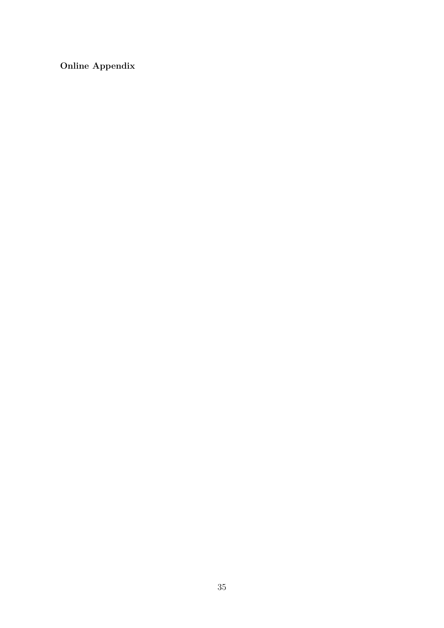**Online Appendix**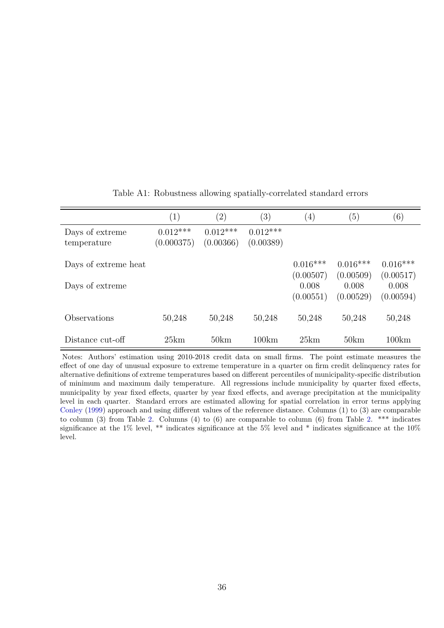<span id="page-38-0"></span>

|                                | $\left( 1\right)$        | $\left( 2\right)$       | $\left( 3\right)$       | $\left(4\right)$                | (5)                             | (6)                             |
|--------------------------------|--------------------------|-------------------------|-------------------------|---------------------------------|---------------------------------|---------------------------------|
| Days of extreme<br>temperature | $0.012***$<br>(0.000375) | $0.012***$<br>(0.00366) | $0.012***$<br>(0.00389) |                                 |                                 |                                 |
| Days of extreme heat           |                          |                         |                         | $0.016***$                      | $0.016***$                      | $0.016***$                      |
| Days of extreme                |                          |                         |                         | (0.00507)<br>0.008<br>(0.00551) | (0.00509)<br>0.008<br>(0.00529) | (0.00517)<br>0.008<br>(0.00594) |
| Observations                   | 50,248                   | 50,248                  | 50,248                  | 50,248                          | 50,248                          | 50,248                          |
| Distance cut-off               | 25km                     | 50km                    | 100km                   | 25km                            | 50km                            | 100km                           |

#### Table A1: Robustness allowing spatially-correlated standard errors

Notes: Authors' estimation using 2010-2018 credit data on small firms. The point estimate measures the effect of one day of unusual exposure to extreme temperature in a quarter on firm credit delinquency rates for alternative definitions of extreme temperatures based on different percentiles of municipality-specific distribution of minimum and maximum daily temperature. All regressions include municipality by quarter fixed effects, municipality by year fixed effects, quarter by year fixed effects, and average precipitation at the municipality level in each quarter. Standard errors are estimated allowing for spatial correlation in error terms applying [Conley](#page-23-19) [\(1999\)](#page-23-19) approach and using different values of the reference distance. Columns (1) to (3) are comparable to column (3) from Table [2.](#page-29-0) Columns (4) to (6) are comparable to column (6) from Table 2. \*\*\* indicates significance at the 1% level, \*\* indicates significance at the 5% level and \* indicates significance at the 10% level.